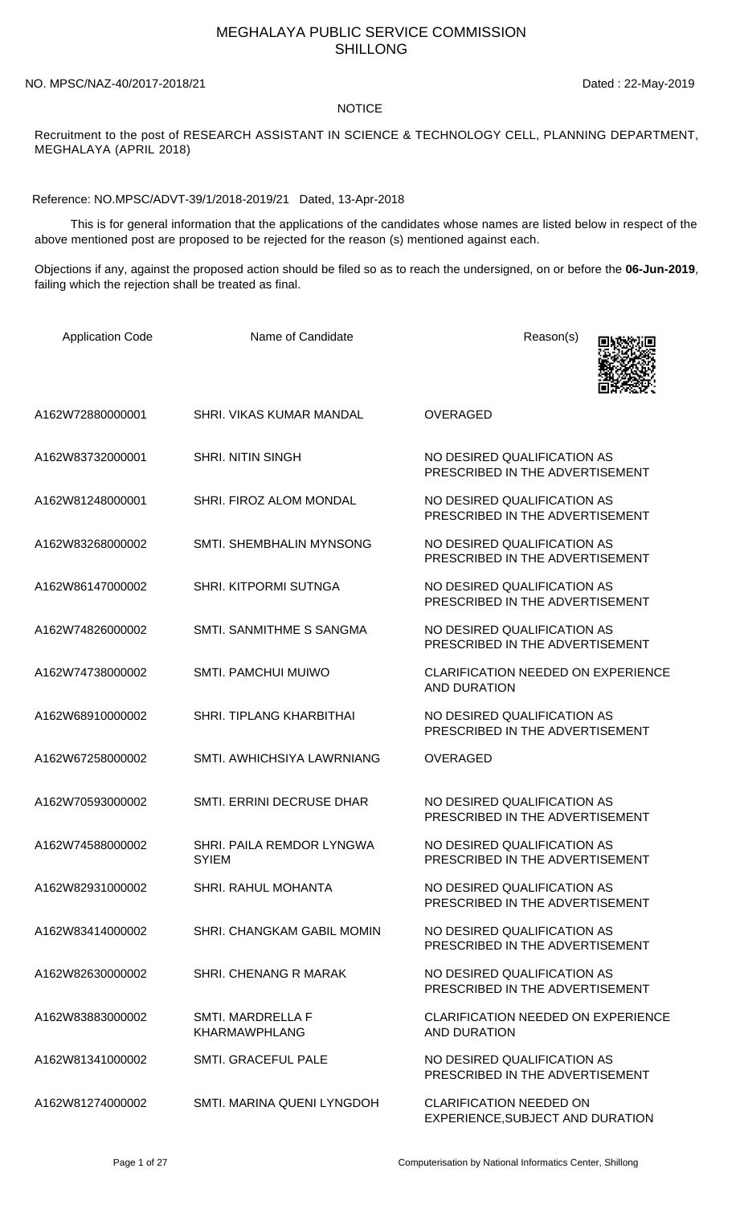## MEGHALAYA PUBLIC SERVICE COMMISSION SHILLONG

NO. MPSC/NAZ-40/2017-2018/21 Dated : 22-May-2019

## **NOTICE**

Recruitment to the post of RESEARCH ASSISTANT IN SCIENCE & TECHNOLOGY CELL, PLANNING DEPARTMENT, MEGHALAYA (APRIL 2018)

Reference: NO.MPSC/ADVT-39/1/2018-2019/21 Dated, 13-Apr-2018

 This is for general information that the applications of the candidates whose names are listed below in respect of the above mentioned post are proposed to be rejected for the reason (s) mentioned against each.

Objections if any, against the proposed action should be filed so as to reach the undersigned, on or before the **06-Jun-2019**, failing which the rejection shall be treated as final.

| <b>Application Code</b> | Name of Candidate                         | Reason(s)                                                          |
|-------------------------|-------------------------------------------|--------------------------------------------------------------------|
| A162W72880000001        | SHRI. VIKAS KUMAR MANDAL                  | <b>OVERAGED</b>                                                    |
| A162W83732000001        | <b>SHRI, NITIN SINGH</b>                  | NO DESIRED QUALIFICATION AS<br>PRESCRIBED IN THE ADVERTISEMENT     |
| A162W81248000001        | SHRI. FIROZ ALOM MONDAL                   | NO DESIRED QUALIFICATION AS<br>PRESCRIBED IN THE ADVERTISEMENT     |
| A162W83268000002        | SMTI. SHEMBHALIN MYNSONG                  | NO DESIRED QUALIFICATION AS<br>PRESCRIBED IN THE ADVERTISEMENT     |
| A162W86147000002        | <b>SHRI. KITPORMI SUTNGA</b>              | NO DESIRED QUALIFICATION AS<br>PRESCRIBED IN THE ADVERTISEMENT     |
| A162W74826000002        | SMTI. SANMITHME S SANGMA                  | NO DESIRED QUALIFICATION AS<br>PRESCRIBED IN THE ADVERTISEMENT     |
| A162W74738000002        | SMTI. PAMCHUI MUIWO                       | <b>CLARIFICATION NEEDED ON EXPERIENCE</b><br><b>AND DURATION</b>   |
| A162W68910000002        | <b>SHRI. TIPLANG KHARBITHAI</b>           | NO DESIRED QUALIFICATION AS<br>PRESCRIBED IN THE ADVERTISEMENT     |
| A162W67258000002        | SMTI. AWHICHSIYA LAWRNIANG                | <b>OVERAGED</b>                                                    |
| A162W70593000002        | SMTI. ERRINI DECRUSE DHAR                 | NO DESIRED QUALIFICATION AS<br>PRESCRIBED IN THE ADVERTISEMENT     |
| A162W74588000002        | SHRI. PAILA REMDOR LYNGWA<br><b>SYIEM</b> | NO DESIRED QUALIFICATION AS<br>PRESCRIBED IN THE ADVERTISEMENT     |
| A162W82931000002        | <b>SHRI. RAHUL MOHANTA</b>                | NO DESIRED QUALIFICATION AS<br>PRESCRIBED IN THE ADVERTISEMENT     |
| A162W83414000002        | SHRI. CHANGKAM GABIL MOMIN                | NO DESIRED QUALIFICATION AS<br>PRESCRIBED IN THE ADVERTISEMENT     |
| A162W82630000002        | SHRI, CHENANG R MARAK                     | NO DESIRED QUALIFICATION AS<br>PRESCRIBED IN THE ADVERTISEMENT     |
| A162W83883000002        | SMTI. MARDRELLA F<br><b>KHARMAWPHLANG</b> | <b>CLARIFICATION NEEDED ON EXPERIENCE</b><br><b>AND DURATION</b>   |
| A162W81341000002        | SMTI. GRACEFUL PALE                       | NO DESIRED QUALIFICATION AS<br>PRESCRIBED IN THE ADVERTISEMENT     |
| A162W81274000002        | SMTI. MARINA QUENI LYNGDOH                | <b>CLARIFICATION NEEDED ON</b><br>EXPERIENCE, SUBJECT AND DURATION |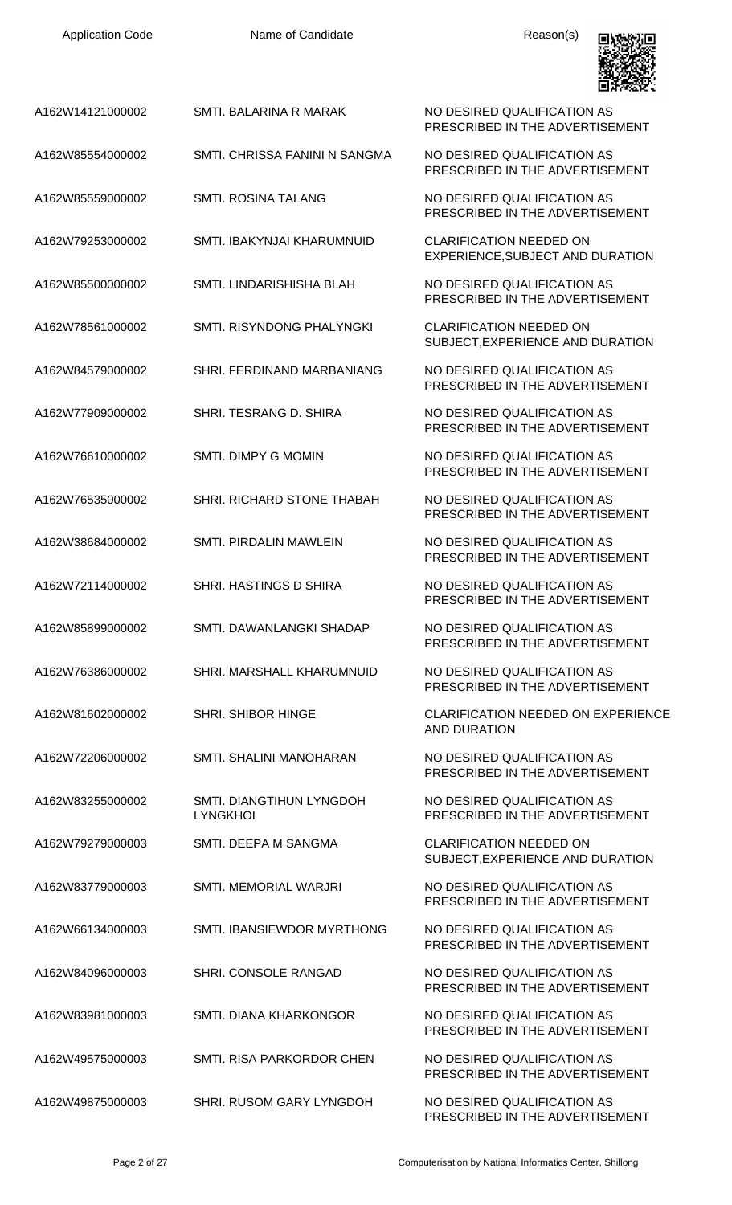| <b>Application Code</b> | Name of Candidate                           | Reason(s)                                                          |
|-------------------------|---------------------------------------------|--------------------------------------------------------------------|
| A162W14121000002        | SMTI. BALARINA R MARAK                      | NO DESIRED QUALIFICATION AS<br>PRESCRIBED IN THE ADVERTISEMENT     |
| A162W85554000002        | SMTI, CHRISSA FANINI N SANGMA               | NO DESIRED QUALIFICATION AS<br>PRESCRIBED IN THE ADVERTISEMENT     |
| A162W85559000002        | <b>SMTI. ROSINA TALANG</b>                  | NO DESIRED QUALIFICATION AS<br>PRESCRIBED IN THE ADVERTISEMENT     |
| A162W79253000002        | SMTI. IBAKYNJAI KHARUMNUID                  | <b>CLARIFICATION NEEDED ON</b><br>EXPERIENCE, SUBJECT AND DURATION |
| A162W85500000002        | SMTI, LINDARISHISHA BLAH                    | NO DESIRED QUALIFICATION AS<br>PRESCRIBED IN THE ADVERTISEMENT     |
| A162W78561000002        | SMTI. RISYNDONG PHALYNGKI                   | <b>CLARIFICATION NEEDED ON</b><br>SUBJECT, EXPERIENCE AND DURATION |
| A162W84579000002        | SHRI. FERDINAND MARBANIANG                  | NO DESIRED QUALIFICATION AS<br>PRESCRIBED IN THE ADVERTISEMENT     |
| A162W77909000002        | SHRI. TESRANG D. SHIRA                      | NO DESIRED QUALIFICATION AS<br>PRESCRIBED IN THE ADVERTISEMENT     |
| A162W76610000002        | <b>SMTI. DIMPY G MOMIN</b>                  | NO DESIRED QUALIFICATION AS<br>PRESCRIBED IN THE ADVERTISEMENT     |
| A162W76535000002        | SHRI. RICHARD STONE THABAH                  | NO DESIRED QUALIFICATION AS<br>PRESCRIBED IN THE ADVERTISEMENT     |
| A162W38684000002        | <b>SMTI. PIRDALIN MAWLEIN</b>               | NO DESIRED QUALIFICATION AS<br>PRESCRIBED IN THE ADVERTISEMENT     |
| A162W72114000002        | SHRI. HASTINGS D SHIRA                      | NO DESIRED QUALIFICATION AS<br>PRESCRIBED IN THE ADVERTISEMENT     |
| A162W85899000002        | SMTI. DAWANLANGKI SHADAP                    | NO DESIRED QUALIFICATION AS<br>PRESCRIBED IN THE ADVERTISEMENT     |
| A162W76386000002        | SHRI. MARSHALL KHARUMNUID                   | NO DESIRED QUALIFICATION AS<br>PRESCRIBED IN THE ADVERTISEMENT     |
| A162W81602000002        | <b>SHRI. SHIBOR HINGE</b>                   | <b>CLARIFICATION NEEDED ON EXPERIENCE</b><br><b>AND DURATION</b>   |
| A162W72206000002        | <b>SMTI. SHALINI MANOHARAN</b>              | NO DESIRED QUALIFICATION AS<br>PRESCRIBED IN THE ADVERTISEMENT     |
| A162W83255000002        | SMTI. DIANGTIHUN LYNGDOH<br><b>LYNGKHOI</b> | NO DESIRED QUALIFICATION AS<br>PRESCRIBED IN THE ADVERTISEMENT     |
| A162W79279000003        | SMTI. DEEPA M SANGMA                        | <b>CLARIFICATION NEEDED ON</b><br>SUBJECT, EXPERIENCE AND DURATION |
| A162W83779000003        | SMTI. MEMORIAL WARJRI                       | NO DESIRED QUALIFICATION AS<br>PRESCRIBED IN THE ADVERTISEMENT     |
| A162W66134000003        | SMTI. IBANSIEWDOR MYRTHONG                  | NO DESIRED QUALIFICATION AS<br>PRESCRIBED IN THE ADVERTISEMENT     |
| A162W84096000003        | SHRI. CONSOLE RANGAD                        | NO DESIRED QUALIFICATION AS<br>PRESCRIBED IN THE ADVERTISEMENT     |
| A162W83981000003        | SMTI. DIANA KHARKONGOR                      | NO DESIRED QUALIFICATION AS<br>PRESCRIBED IN THE ADVERTISEMENT     |
| A162W49575000003        | SMTI, RISA PARKORDOR CHEN                   | NO DESIRED QUALIFICATION AS<br>PRESCRIBED IN THE ADVERTISEMENT     |
| A162W49875000003        | SHRI. RUSOM GARY LYNGDOH                    | NO DESIRED QUALIFICATION AS                                        |

PRESCRIBED IN THE ADVERTISEMENT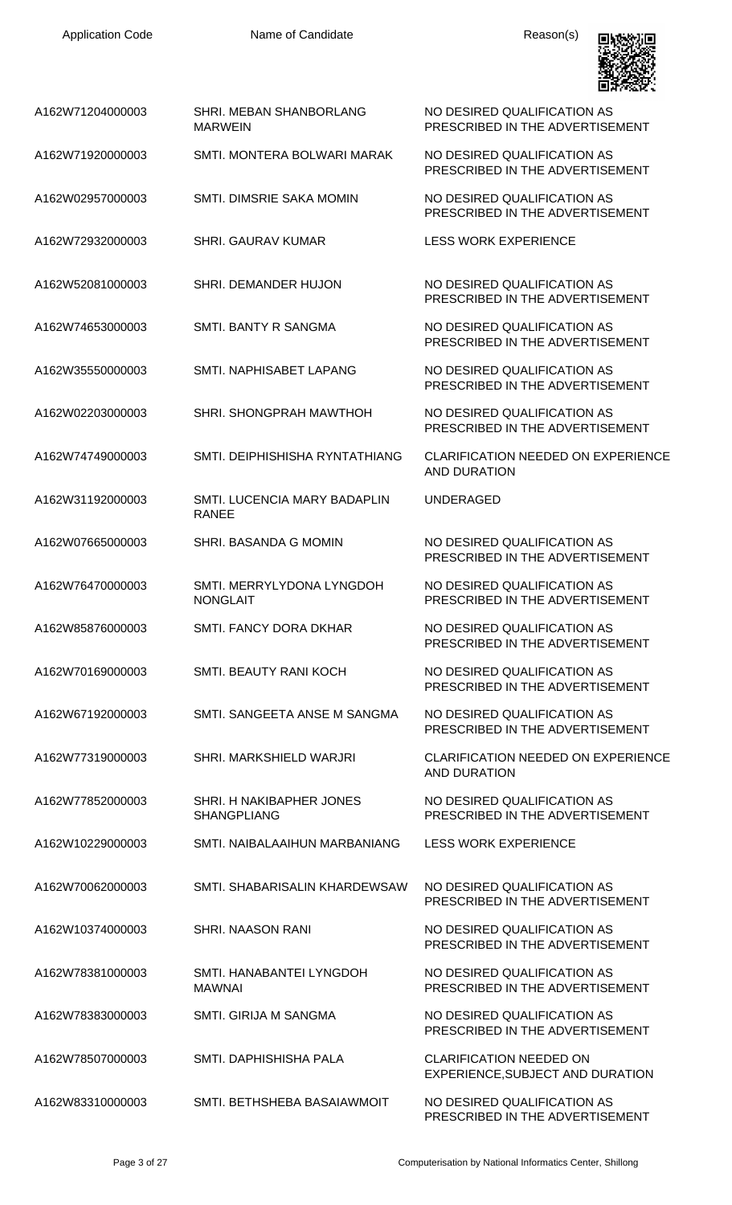

| A162W71204000003 | SHRI. MEBAN SHANBORLANG<br><b>MARWEIN</b>           | NO DESIRED QUALIFICATION AS<br>PRESCRIBED IN THE ADVERTISEMENT     |
|------------------|-----------------------------------------------------|--------------------------------------------------------------------|
| A162W71920000003 | SMTI. MONTERA BOLWARI MARAK                         | NO DESIRED QUALIFICATION AS<br>PRESCRIBED IN THE ADVERTISEMENT     |
| A162W02957000003 | <b>SMTI. DIMSRIE SAKA MOMIN</b>                     | NO DESIRED QUALIFICATION AS<br>PRESCRIBED IN THE ADVERTISEMENT     |
| A162W72932000003 | <b>SHRI. GAURAV KUMAR</b>                           | <b>LESS WORK EXPERIENCE</b>                                        |
| A162W52081000003 | <b>SHRI. DEMANDER HUJON</b>                         | NO DESIRED QUALIFICATION AS<br>PRESCRIBED IN THE ADVERTISEMENT     |
| A162W74653000003 | <b>SMTI. BANTY R SANGMA</b>                         | NO DESIRED QUALIFICATION AS<br>PRESCRIBED IN THE ADVERTISEMENT     |
| A162W35550000003 | SMTI. NAPHISABET LAPANG                             | NO DESIRED QUALIFICATION AS<br>PRESCRIBED IN THE ADVERTISEMENT     |
| A162W02203000003 | SHRI. SHONGPRAH MAWTHOH                             | NO DESIRED QUALIFICATION AS<br>PRESCRIBED IN THE ADVERTISEMENT     |
| A162W74749000003 | SMTI. DEIPHISHISHA RYNTATHIANG                      | <b>CLARIFICATION NEEDED ON EXPERIENCE</b><br><b>AND DURATION</b>   |
| A162W31192000003 | <b>SMTI, LUCENCIA MARY BADAPLIN</b><br><b>RANEE</b> | <b>UNDERAGED</b>                                                   |
| A162W07665000003 | SHRI. BASANDA G MOMIN                               | NO DESIRED QUALIFICATION AS<br>PRESCRIBED IN THE ADVERTISEMENT     |
| A162W76470000003 | SMTI. MERRYLYDONA LYNGDOH<br><b>NONGLAIT</b>        | NO DESIRED QUALIFICATION AS<br>PRESCRIBED IN THE ADVERTISEMENT     |
| A162W85876000003 | SMTI. FANCY DORA DKHAR                              | NO DESIRED QUALIFICATION AS<br>PRESCRIBED IN THE ADVERTISEMENT     |
| A162W70169000003 | SMTI. BEAUTY RANI KOCH                              | NO DESIRED QUALIFICATION AS<br>PRESCRIBED IN THE ADVERTISEMENT     |
| A162W67192000003 | SMTI. SANGEETA ANSE M SANGMA                        | NO DESIRED QUALIFICATION AS<br>PRESCRIBED IN THE ADVERTISEMENT     |
| A162W77319000003 | SHRI. MARKSHIELD WARJRI                             | <b>CLARIFICATION NEEDED ON EXPERIENCE</b><br><b>AND DURATION</b>   |
| A162W77852000003 | SHRI. H NAKIBAPHER JONES<br><b>SHANGPLIANG</b>      | NO DESIRED QUALIFICATION AS<br>PRESCRIBED IN THE ADVERTISEMENT     |
| A162W10229000003 | SMTI. NAIBALAAIHUN MARBANIANG                       | <b>LESS WORK EXPERIENCE</b>                                        |
| A162W70062000003 | SMTI. SHABARISALIN KHARDEWSAW                       | NO DESIRED QUALIFICATION AS<br>PRESCRIBED IN THE ADVERTISEMENT     |
| A162W10374000003 | SHRI. NAASON RANI                                   | NO DESIRED QUALIFICATION AS<br>PRESCRIBED IN THE ADVERTISEMENT     |
| A162W78381000003 | SMTI. HANABANTEI LYNGDOH<br><b>MAWNAI</b>           | NO DESIRED QUALIFICATION AS<br>PRESCRIBED IN THE ADVERTISEMENT     |
| A162W78383000003 | SMTI. GIRIJA M SANGMA                               | NO DESIRED QUALIFICATION AS<br>PRESCRIBED IN THE ADVERTISEMENT     |
| A162W78507000003 | SMTI. DAPHISHISHA PALA                              | <b>CLARIFICATION NEEDED ON</b><br>EXPERIENCE, SUBJECT AND DURATION |
| A162W83310000003 | SMTI. BETHSHEBA BASAIAWMOIT                         | NO DESIRED QUALIFICATION AS<br>PRESCRIBED IN THE ADVERTISEMENT     |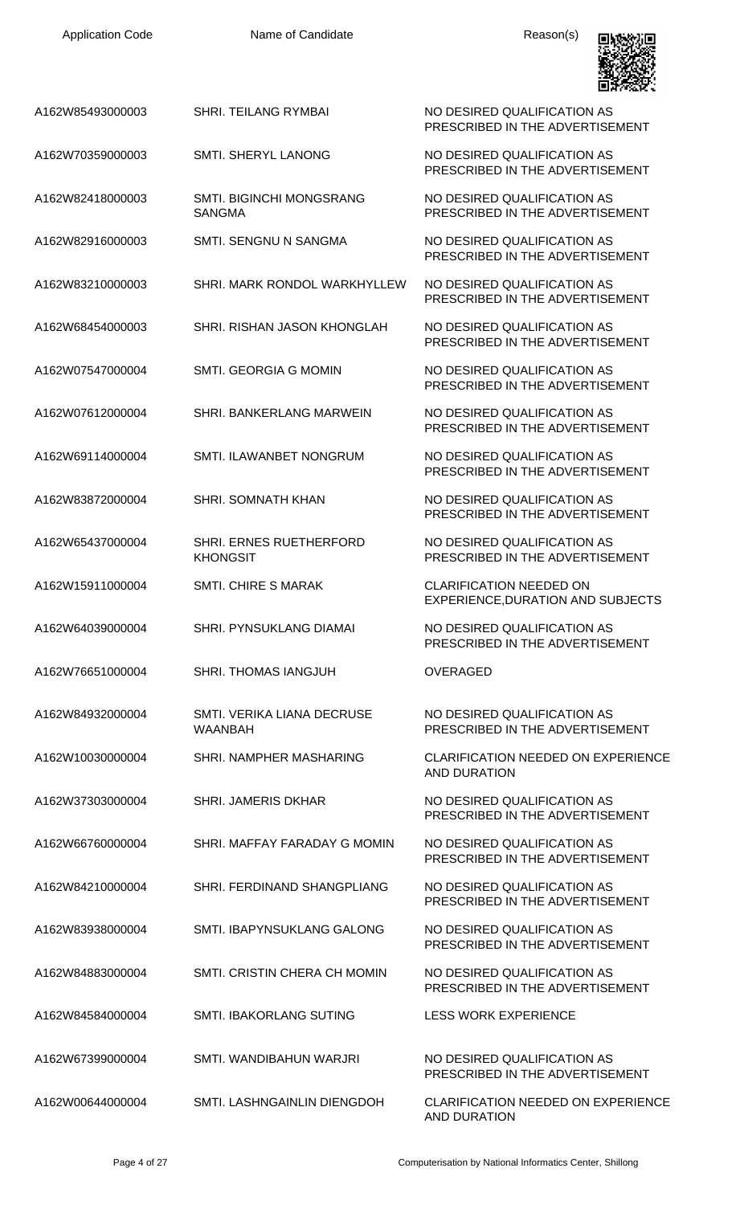| <b>Application Code</b> | Name of Candidate                                | Reason(s)                                                           |
|-------------------------|--------------------------------------------------|---------------------------------------------------------------------|
| A162W85493000003        | <b>SHRI. TEILANG RYMBAI</b>                      | NO DESIRED QUALIFICATION AS<br>PRESCRIBED IN THE ADVERTISEMENT      |
| A162W70359000003        | SMTI. SHERYL LANONG                              | NO DESIRED QUALIFICATION AS<br>PRESCRIBED IN THE ADVERTISEMENT      |
| A162W82418000003        | <b>SMTI. BIGINCHI MONGSRANG</b><br><b>SANGMA</b> | NO DESIRED QUALIFICATION AS<br>PRESCRIBED IN THE ADVERTISEMENT      |
| A162W82916000003        | SMTI. SENGNU N SANGMA                            | NO DESIRED QUALIFICATION AS<br>PRESCRIBED IN THE ADVERTISEMENT      |
| A162W83210000003        | SHRI. MARK RONDOL WARKHYLLEW                     | NO DESIRED QUALIFICATION AS<br>PRESCRIBED IN THE ADVERTISEMENT      |
| A162W68454000003        | SHRI. RISHAN JASON KHONGLAH                      | NO DESIRED QUALIFICATION AS<br>PRESCRIBED IN THE ADVERTISEMENT      |
| A162W07547000004        | SMTI. GEORGIA G MOMIN                            | NO DESIRED QUALIFICATION AS<br>PRESCRIBED IN THE ADVERTISEMENT      |
| A162W07612000004        | SHRI. BANKERLANG MARWEIN                         | NO DESIRED QUALIFICATION AS<br>PRESCRIBED IN THE ADVERTISEMENT      |
| A162W69114000004        | SMTI. ILAWANBET NONGRUM                          | NO DESIRED QUALIFICATION AS<br>PRESCRIBED IN THE ADVERTISEMENT      |
| A162W83872000004        | <b>SHRI. SOMNATH KHAN</b>                        | NO DESIRED QUALIFICATION AS<br>PRESCRIBED IN THE ADVERTISEMENT      |
| A162W65437000004        | SHRI. ERNES RUETHERFORD<br><b>KHONGSIT</b>       | NO DESIRED QUALIFICATION AS<br>PRESCRIBED IN THE ADVERTISEMENT      |
| A162W15911000004        | <b>SMTI. CHIRE S MARAK</b>                       | <b>CLARIFICATION NEEDED ON</b><br>EXPERIENCE, DURATION AND SUBJECTS |
| A162W64039000004        | SHRI. PYNSUKLANG DIAMAI                          | NO DESIRED QUALIFICATION AS<br>PRESCRIBED IN THE ADVERTISEMENT      |
| A162W76651000004        | <b>SHRI. THOMAS IANGJUH</b>                      | OVERAGED                                                            |
| A162W84932000004        | SMTI. VERIKA LIANA DECRUSE<br><b>WAANBAH</b>     | NO DESIRED QUALIFICATION AS<br>PRESCRIBED IN THE ADVERTISEMENT      |
| A162W10030000004        | SHRI. NAMPHER MASHARING                          | <b>CLARIFICATION NEEDED ON EXPERIENCE</b><br><b>AND DURATION</b>    |
| A162W37303000004        | <b>SHRI. JAMERIS DKHAR</b>                       | NO DESIRED QUALIFICATION AS<br>PRESCRIBED IN THE ADVERTISEMENT      |
| A162W66760000004        | SHRI. MAFFAY FARADAY G MOMIN                     | NO DESIRED QUALIFICATION AS<br>PRESCRIBED IN THE ADVERTISEMENT      |
| A162W84210000004        | SHRI. FERDINAND SHANGPLIANG                      | NO DESIRED QUALIFICATION AS<br>PRESCRIBED IN THE ADVERTISEMENT      |
| A162W83938000004        | <b>SMTI. IBAPYNSUKLANG GALONG</b>                | NO DESIRED QUALIFICATION AS<br>PRESCRIBED IN THE ADVERTISEMENT      |
| A162W84883000004        | SMTI. CRISTIN CHERA CH MOMIN                     | NO DESIRED QUALIFICATION AS<br>PRESCRIBED IN THE ADVERTISEMENT      |
| A162W84584000004        | SMTI. IBAKORLANG SUTING                          | <b>LESS WORK EXPERIENCE</b>                                         |
| A162W67399000004        | SMTI, WANDIBAHUN WARJRI                          | NO DESIRED QUALIFICATION AS<br>PRESCRIBED IN THE ADVERTISEMENT      |
| A162W00644000004        | SMTI. LASHNGAINLIN DIENGDOH                      | CLARIFICATION NEEDED ON EXPERIENCE                                  |

AND DURATION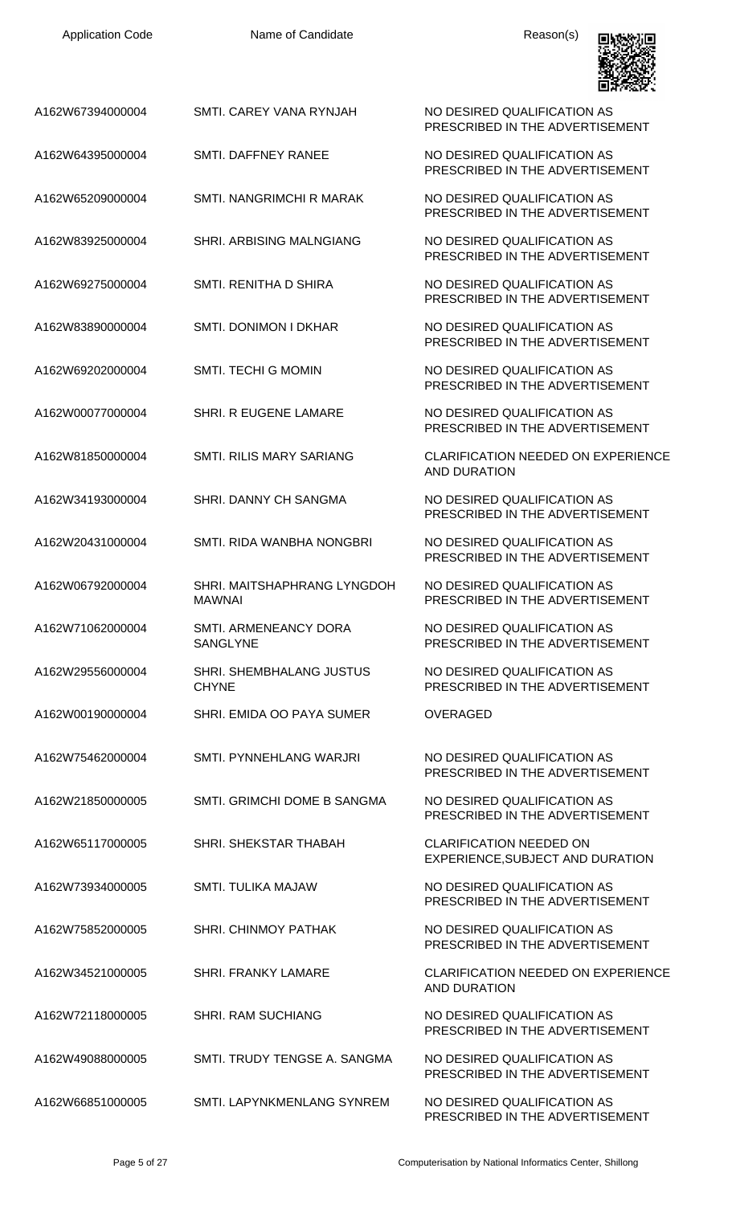| A162W67394000004 | SMTI, CAREY VANA RYNJAH                         | NO DESIRED QUALIFICATION AS<br>PRESCRIBED IN THE ADVERTISEMENT     |
|------------------|-------------------------------------------------|--------------------------------------------------------------------|
| A162W64395000004 | SMTI. DAFFNEY RANEE                             | NO DESIRED QUALIFICATION AS<br>PRESCRIBED IN THE ADVERTISEMENT     |
| A162W65209000004 | SMTI. NANGRIMCHI R MARAK                        | NO DESIRED QUALIFICATION AS<br>PRESCRIBED IN THE ADVERTISEMENT     |
| A162W83925000004 | <b>SHRI. ARBISING MALNGIANG</b>                 | NO DESIRED QUALIFICATION AS<br>PRESCRIBED IN THE ADVERTISEMENT     |
| A162W69275000004 | SMTI. RENITHA D SHIRA                           | NO DESIRED QUALIFICATION AS<br>PRESCRIBED IN THE ADVERTISEMENT     |
| A162W83890000004 | SMTI. DONIMON I DKHAR                           | NO DESIRED QUALIFICATION AS<br>PRESCRIBED IN THE ADVERTISEMENT     |
| A162W69202000004 | <b>SMTI. TECHI G MOMIN</b>                      | NO DESIRED QUALIFICATION AS<br>PRESCRIBED IN THE ADVERTISEMENT     |
| A162W00077000004 | <b>SHRI. R EUGENE LAMARE</b>                    | NO DESIRED QUALIFICATION AS<br>PRESCRIBED IN THE ADVERTISEMENT     |
| A162W81850000004 | <b>SMTI. RILIS MARY SARIANG</b>                 | <b>CLARIFICATION NEEDED ON EXPERIENCE</b><br><b>AND DURATION</b>   |
| A162W34193000004 | SHRI, DANNY CH SANGMA                           | NO DESIRED QUALIFICATION AS<br>PRESCRIBED IN THE ADVERTISEMENT     |
| A162W20431000004 | SMTI. RIDA WANBHA NONGBRI                       | NO DESIRED QUALIFICATION AS<br>PRESCRIBED IN THE ADVERTISEMENT     |
| A162W06792000004 | SHRI. MAITSHAPHRANG LYNGDOH<br>MAWNAI           | NO DESIRED QUALIFICATION AS<br>PRESCRIBED IN THE ADVERTISEMENT     |
| A162W71062000004 | SMTI. ARMENEANCY DORA<br><b>SANGLYNE</b>        | NO DESIRED QUALIFICATION AS<br>PRESCRIBED IN THE ADVERTISEMENT     |
| A162W29556000004 | <b>SHRI. SHEMBHALANG JUSTUS</b><br><b>CHYNE</b> | NO DESIRED QUALIFICATION AS<br>PRESCRIBED IN THE ADVERTISEMENT     |
| A162W00190000004 | SHRI. EMIDA OO PAYA SUMER                       | <b>OVERAGED</b>                                                    |
| A162W75462000004 | SMTI. PYNNEHLANG WARJRI                         | NO DESIRED QUALIFICATION AS<br>PRESCRIBED IN THE ADVERTISEMENT     |
| A162W21850000005 | SMTI. GRIMCHI DOME B SANGMA                     | NO DESIRED QUALIFICATION AS<br>PRESCRIBED IN THE ADVERTISEMENT     |
| A162W65117000005 | SHRI. SHEKSTAR THABAH                           | <b>CLARIFICATION NEEDED ON</b><br>EXPERIENCE, SUBJECT AND DURATION |
| A162W73934000005 | <b>SMTI. TULIKA MAJAW</b>                       | NO DESIRED QUALIFICATION AS<br>PRESCRIBED IN THE ADVERTISEMENT     |
| A162W75852000005 | <b>SHRI. CHINMOY PATHAK</b>                     | NO DESIRED QUALIFICATION AS<br>PRESCRIBED IN THE ADVERTISEMENT     |
| A162W34521000005 | <b>SHRI. FRANKY LAMARE</b>                      | <b>CLARIFICATION NEEDED ON EXPERIENCE</b><br><b>AND DURATION</b>   |
| A162W72118000005 | <b>SHRI. RAM SUCHIANG</b>                       | NO DESIRED QUALIFICATION AS<br>PRESCRIBED IN THE ADVERTISEMENT     |
| A162W49088000005 | SMTI. TRUDY TENGSE A. SANGMA                    | NO DESIRED QUALIFICATION AS<br>PRESCRIBED IN THE ADVERTISEMENT     |
| A162W66851000005 | SMTI. LAPYNKMENLANG SYNREM                      | NO DESIRED QUALIFICATION AS                                        |

PRESCRIBED IN THE ADVERTISEMENT

回感觉

ijΞ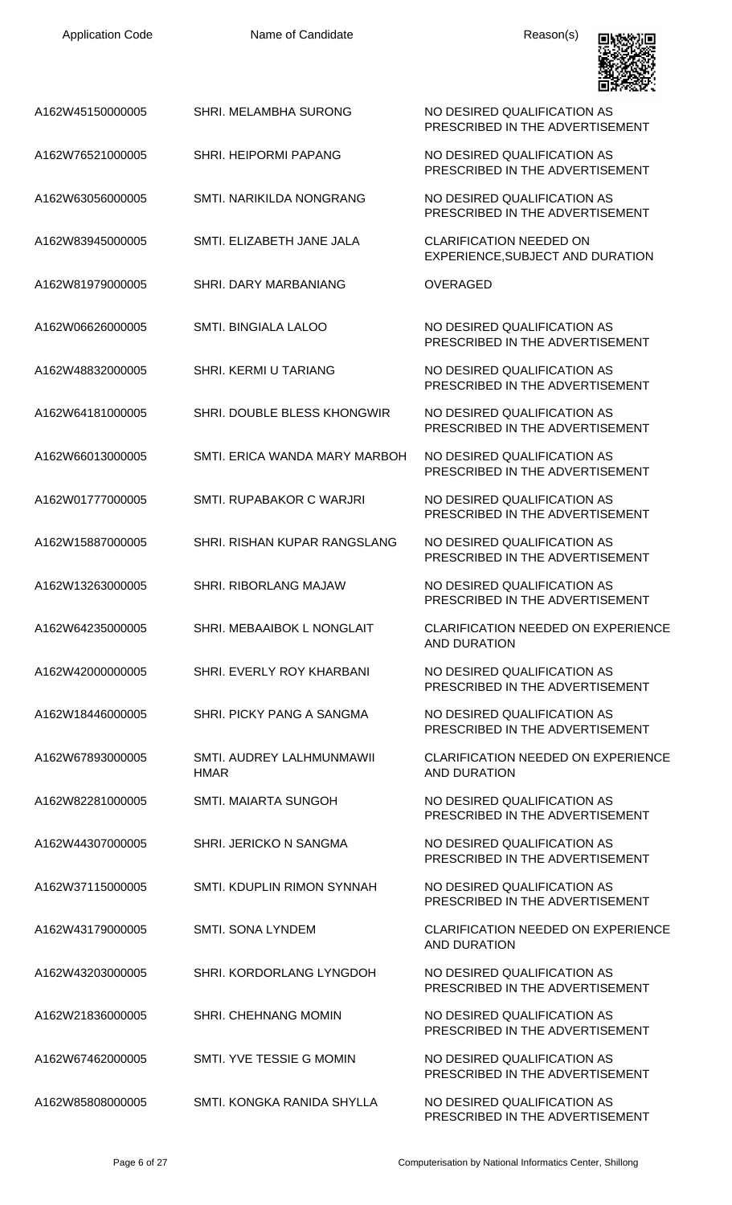| <b>Application Code</b> | Name of Candidate                        | Reason(s)                                                          |
|-------------------------|------------------------------------------|--------------------------------------------------------------------|
| A162W45150000005        | SHRI. MELAMBHA SURONG                    | NO DESIRED QUALIFICATION AS<br>PRESCRIBED IN THE ADVERTISEMENT     |
| A162W76521000005        | <b>SHRI. HEIPORMI PAPANG</b>             | NO DESIRED QUALIFICATION AS<br>PRESCRIBED IN THE ADVERTISEMENT     |
| A162W63056000005        | SMTI. NARIKILDA NONGRANG                 | NO DESIRED QUALIFICATION AS<br>PRESCRIBED IN THE ADVERTISEMENT     |
| A162W83945000005        | SMTI. ELIZABETH JANE JALA                | <b>CLARIFICATION NEEDED ON</b><br>EXPERIENCE, SUBJECT AND DURATION |
| A162W81979000005        | <b>SHRI. DARY MARBANIANG</b>             | <b>OVERAGED</b>                                                    |
| A162W06626000005        | <b>SMTI. BINGIALA LALOO</b>              | NO DESIRED QUALIFICATION AS<br>PRESCRIBED IN THE ADVERTISEMENT     |
| A162W48832000005        | <b>SHRI. KERMI U TARIANG</b>             | NO DESIRED QUALIFICATION AS<br>PRESCRIBED IN THE ADVERTISEMENT     |
| A162W64181000005        | SHRI. DOUBLE BLESS KHONGWIR              | NO DESIRED QUALIFICATION AS<br>PRESCRIBED IN THE ADVERTISEMENT     |
| A162W66013000005        | SMTI, ERICA WANDA MARY MARBOH            | NO DESIRED QUALIFICATION AS<br>PRESCRIBED IN THE ADVERTISEMENT     |
| A162W01777000005        | SMTI. RUPABAKOR C WARJRI                 | NO DESIRED QUALIFICATION AS<br>PRESCRIBED IN THE ADVERTISEMENT     |
| A162W15887000005        | SHRI. RISHAN KUPAR RANGSLANG             | NO DESIRED QUALIFICATION AS<br>PRESCRIBED IN THE ADVERTISEMENT     |
| A162W13263000005        | <b>SHRI, RIBORLANG MAJAW</b>             | NO DESIRED QUALIFICATION AS<br>PRESCRIBED IN THE ADVERTISEMENT     |
| A162W64235000005        | SHRI. MEBAAIBOK L NONGLAIT               | <b>CLARIFICATION NEEDED ON EXPERIENCE</b><br><b>AND DURATION</b>   |
| A162W42000000005        | SHRI. EVERLY ROY KHARBANI                | NO DESIRED QUALIFICATION AS<br>PRESCRIBED IN THE ADVERTISEMENT     |
| A162W18446000005        | SHRI. PICKY PANG A SANGMA                | NO DESIRED QUALIFICATION AS<br>PRESCRIBED IN THE ADVERTISEMENT     |
| A162W67893000005        | SMTI. AUDREY LALHMUNMAWII<br><b>HMAR</b> | <b>CLARIFICATION NEEDED ON EXPERIENCE</b><br><b>AND DURATION</b>   |
| A162W82281000005        | <b>SMTI. MAIARTA SUNGOH</b>              | NO DESIRED QUALIFICATION AS<br>PRESCRIBED IN THE ADVERTISEMENT     |
| A162W44307000005        | SHRI. JERICKO N SANGMA                   | NO DESIRED QUALIFICATION AS<br>PRESCRIBED IN THE ADVERTISEMENT     |
| A162W37115000005        | SMTI. KDUPLIN RIMON SYNNAH               | NO DESIRED QUALIFICATION AS<br>PRESCRIBED IN THE ADVERTISEMENT     |
| A162W43179000005        | <b>SMTI. SONA LYNDEM</b>                 | <b>CLARIFICATION NEEDED ON EXPERIENCE</b><br><b>AND DURATION</b>   |
| A162W43203000005        | SHRI. KORDORLANG LYNGDOH                 | NO DESIRED QUALIFICATION AS<br>PRESCRIBED IN THE ADVERTISEMENT     |
| A162W21836000005        | <b>SHRI. CHEHNANG MOMIN</b>              | NO DESIRED QUALIFICATION AS<br>PRESCRIBED IN THE ADVERTISEMENT     |
| A162W67462000005        | SMTI. YVE TESSIE G MOMIN                 | NO DESIRED QUALIFICATION AS<br>PRESCRIBED IN THE ADVERTISEMENT     |
| A162W85808000005        | SMTI. KONGKA RANIDA SHYLLA               | NO DESIRED QUALIFICATION AS<br>PRESCRIBED IN THE ADVERTISEMENT     |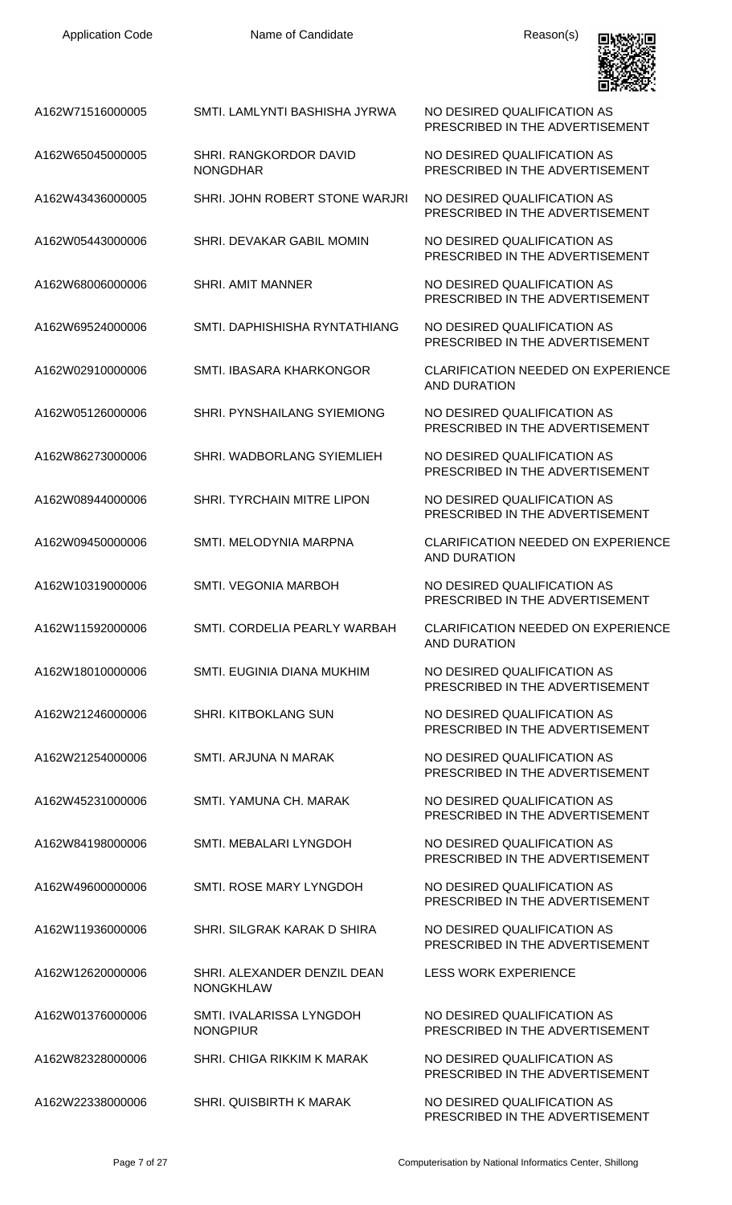

| A162W71516000005 | SMTI. LAMLYNTI BASHISHA JYRWA                   | NO DESIRED QUALIFICATION AS<br>PRESCRIBED IN THE ADVERTISEMENT   |
|------------------|-------------------------------------------------|------------------------------------------------------------------|
| A162W65045000005 | SHRI. RANGKORDOR DAVID<br><b>NONGDHAR</b>       | NO DESIRED QUALIFICATION AS<br>PRESCRIBED IN THE ADVERTISEMENT   |
| A162W43436000005 | SHRI. JOHN ROBERT STONE WARJRI                  | NO DESIRED QUALIFICATION AS<br>PRESCRIBED IN THE ADVERTISEMENT   |
| A162W05443000006 | SHRI. DEVAKAR GABIL MOMIN                       | NO DESIRED QUALIFICATION AS<br>PRESCRIBED IN THE ADVERTISEMENT   |
| A162W68006000006 | <b>SHRI. AMIT MANNER</b>                        | NO DESIRED QUALIFICATION AS<br>PRESCRIBED IN THE ADVERTISEMENT   |
| A162W69524000006 | SMTI. DAPHISHISHA RYNTATHIANG                   | NO DESIRED QUALIFICATION AS<br>PRESCRIBED IN THE ADVERTISEMENT   |
| A162W02910000006 | SMTI. IBASARA KHARKONGOR                        | <b>CLARIFICATION NEEDED ON EXPERIENCE</b><br><b>AND DURATION</b> |
| A162W05126000006 | SHRI. PYNSHAILANG SYIEMIONG                     | NO DESIRED QUALIFICATION AS<br>PRESCRIBED IN THE ADVERTISEMENT   |
| A162W86273000006 | SHRI. WADBORLANG SYIEMLIEH                      | NO DESIRED QUALIFICATION AS<br>PRESCRIBED IN THE ADVERTISEMENT   |
| A162W08944000006 | <b>SHRI. TYRCHAIN MITRE LIPON</b>               | NO DESIRED QUALIFICATION AS<br>PRESCRIBED IN THE ADVERTISEMENT   |
| A162W09450000006 | SMTI. MELODYNIA MARPNA                          | <b>CLARIFICATION NEEDED ON EXPERIENCE</b><br><b>AND DURATION</b> |
| A162W10319000006 | <b>SMTI. VEGONIA MARBOH</b>                     | NO DESIRED QUALIFICATION AS<br>PRESCRIBED IN THE ADVERTISEMENT   |
| A162W11592000006 | SMTI. CORDELIA PEARLY WARBAH                    | <b>CLARIFICATION NEEDED ON EXPERIENCE</b><br><b>AND DURATION</b> |
| A162W18010000006 | SMTI. EUGINIA DIANA MUKHIM                      | NO DESIRED QUALIFICATION AS<br>PRESCRIBED IN THE ADVERTISEMENT   |
| A162W21246000006 | <b>SHRI. KITBOKLANG SUN</b>                     | NO DESIRED QUALIFICATION AS<br>PRESCRIBED IN THE ADVERTISEMENT   |
| A162W21254000006 | SMTI. ARJUNA N MARAK                            | NO DESIRED QUALIFICATION AS<br>PRESCRIBED IN THE ADVERTISEMENT   |
| A162W45231000006 | SMTI, YAMUNA CH, MARAK                          | NO DESIRED QUALIFICATION AS<br>PRESCRIBED IN THE ADVERTISEMENT   |
| A162W84198000006 | SMTI. MEBALARI LYNGDOH                          | NO DESIRED QUALIFICATION AS<br>PRESCRIBED IN THE ADVERTISEMENT   |
| A162W49600000006 | SMTI. ROSE MARY LYNGDOH                         | NO DESIRED QUALIFICATION AS<br>PRESCRIBED IN THE ADVERTISEMENT   |
| A162W11936000006 | SHRI. SILGRAK KARAK D SHIRA                     | NO DESIRED QUALIFICATION AS<br>PRESCRIBED IN THE ADVERTISEMENT   |
| A162W12620000006 | SHRI. ALEXANDER DENZIL DEAN<br><b>NONGKHLAW</b> | <b>LESS WORK EXPERIENCE</b>                                      |
| A162W01376000006 | SMTI. IVALARISSA LYNGDOH<br><b>NONGPIUR</b>     | NO DESIRED QUALIFICATION AS<br>PRESCRIBED IN THE ADVERTISEMENT   |
| A162W82328000006 | <b>SHRI, CHIGA RIKKIM K MARAK</b>               | NO DESIRED QUALIFICATION AS<br>PRESCRIBED IN THE ADVERTISEMENT   |
| A162W22338000006 | <b>SHRI. QUISBIRTH K MARAK</b>                  | NO DESIRED QUALIFICATION AS<br>PRESCRIBED IN THE ADVERTISEMENT   |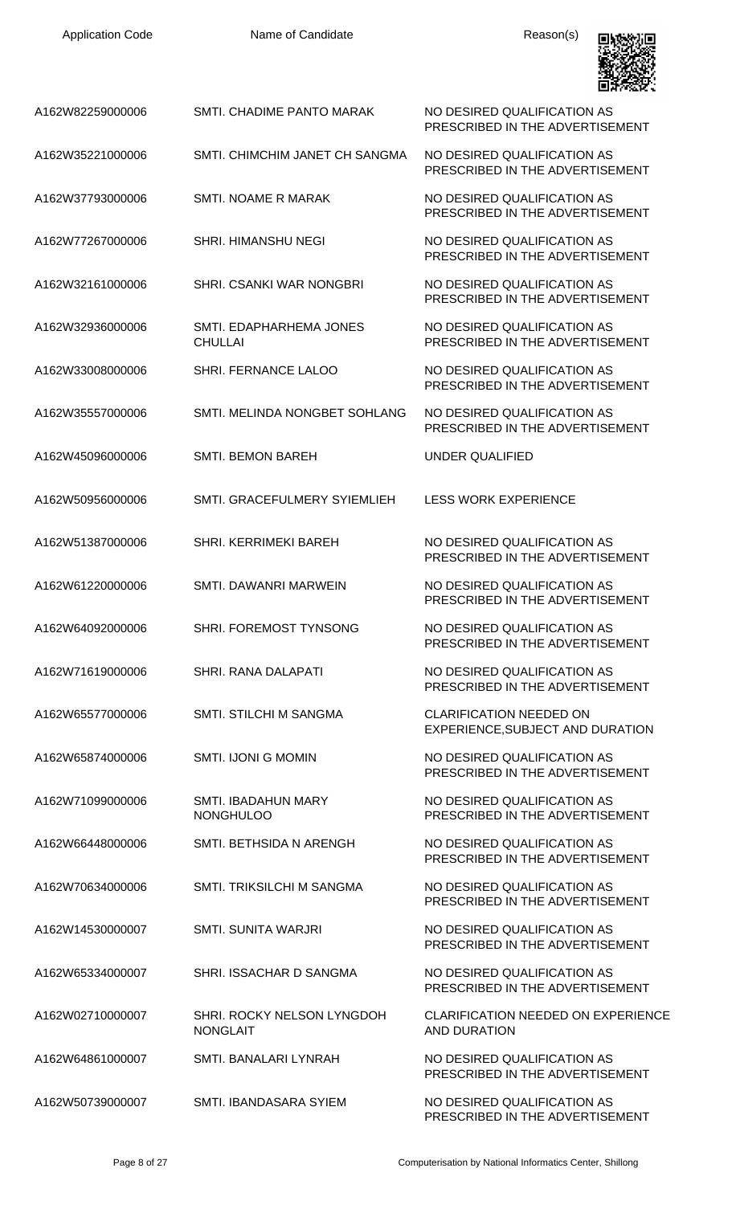| <b>Application Code</b> | Name of Candidate                              | Reason(s)                                                          |
|-------------------------|------------------------------------------------|--------------------------------------------------------------------|
| A162W82259000006        | SMTI. CHADIME PANTO MARAK                      | NO DESIRED QUALIFICATION AS<br>PRESCRIBED IN THE ADVERTISEMENT     |
| A162W35221000006        | SMTI. CHIMCHIM JANET CH SANGMA                 | NO DESIRED QUALIFICATION AS<br>PRESCRIBED IN THE ADVERTISEMENT     |
| A162W37793000006        | SMTI. NOAME R MARAK                            | NO DESIRED QUALIFICATION AS<br>PRESCRIBED IN THE ADVERTISEMENT     |
| A162W77267000006        | <b>SHRI. HIMANSHU NEGI</b>                     | NO DESIRED QUALIFICATION AS<br>PRESCRIBED IN THE ADVERTISEMENT     |
| A162W32161000006        | SHRI. CSANKI WAR NONGBRI                       | NO DESIRED QUALIFICATION AS<br>PRESCRIBED IN THE ADVERTISEMENT     |
| A162W32936000006        | SMTI. EDAPHARHEMA JONES<br><b>CHULLAI</b>      | NO DESIRED QUALIFICATION AS<br>PRESCRIBED IN THE ADVERTISEMENT     |
| A162W33008000006        | SHRI. FERNANCE LALOO                           | NO DESIRED QUALIFICATION AS<br>PRESCRIBED IN THE ADVERTISEMENT     |
| A162W35557000006        | SMTI. MELINDA NONGBET SOHLANG                  | NO DESIRED QUALIFICATION AS<br>PRESCRIBED IN THE ADVERTISEMENT     |
| A162W45096000006        | <b>SMTI. BEMON BAREH</b>                       | <b>UNDER QUALIFIED</b>                                             |
| A162W50956000006        | SMTI. GRACEFULMERY SYIEMLIEH                   | <b>LESS WORK EXPERIENCE</b>                                        |
| A162W51387000006        | <b>SHRI. KERRIMEKI BAREH</b>                   | NO DESIRED QUALIFICATION AS<br>PRESCRIBED IN THE ADVERTISEMENT     |
| A162W61220000006        | SMTI. DAWANRI MARWEIN                          | NO DESIRED QUALIFICATION AS<br>PRESCRIBED IN THE ADVERTISEMENT     |
| A162W64092000006        | SHRI. FOREMOST TYNSONG                         | NO DESIRED QUALIFICATION AS<br>PRESCRIBED IN THE ADVERTISEMENT     |
| A162W71619000006        | <b>SHRI. RANA DALAPATI</b>                     | NO DESIRED QUALIFICATION AS<br>PRESCRIBED IN THE ADVERTISEMENT     |
| A162W65577000006        | <b>SMTI. STILCHI M SANGMA</b>                  | <b>CLARIFICATION NEEDED ON</b><br>EXPERIENCE, SUBJECT AND DURATION |
| A162W65874000006        | <b>SMTI. IJONI G MOMIN</b>                     | NO DESIRED QUALIFICATION AS<br>PRESCRIBED IN THE ADVERTISEMENT     |
| A162W71099000006        | <b>SMTI. IBADAHUN MARY</b><br><b>NONGHULOO</b> | NO DESIRED QUALIFICATION AS<br>PRESCRIBED IN THE ADVERTISEMENT     |
| A162W66448000006        | SMTI. BETHSIDA N ARENGH                        | NO DESIRED QUALIFICATION AS<br>PRESCRIBED IN THE ADVERTISEMENT     |
| A162W70634000006        | SMTI. TRIKSILCHI M SANGMA                      | NO DESIRED QUALIFICATION AS<br>PRESCRIBED IN THE ADVERTISEMENT     |
| A162W14530000007        | <b>SMTI. SUNITA WARJRI</b>                     | NO DESIRED QUALIFICATION AS<br>PRESCRIBED IN THE ADVERTISEMENT     |
| A162W65334000007        | SHRI. ISSACHAR D SANGMA                        | NO DESIRED QUALIFICATION AS<br>PRESCRIBED IN THE ADVERTISEMENT     |
| A162W02710000007        | SHRI. ROCKY NELSON LYNGDOH<br><b>NONGLAIT</b>  | <b>CLARIFICATION NEEDED ON EXPERIENCE</b><br><b>AND DURATION</b>   |
| A162W64861000007        | SMTI. BANALARI LYNRAH                          | NO DESIRED QUALIFICATION AS<br>PRESCRIBED IN THE ADVERTISEMENT     |
| A162W50739000007        | SMTI. IBANDASARA SYIEM                         | NO DESIRED QUALIFICATION AS                                        |

PRESCRIBED IN THE ADVERTISEMENT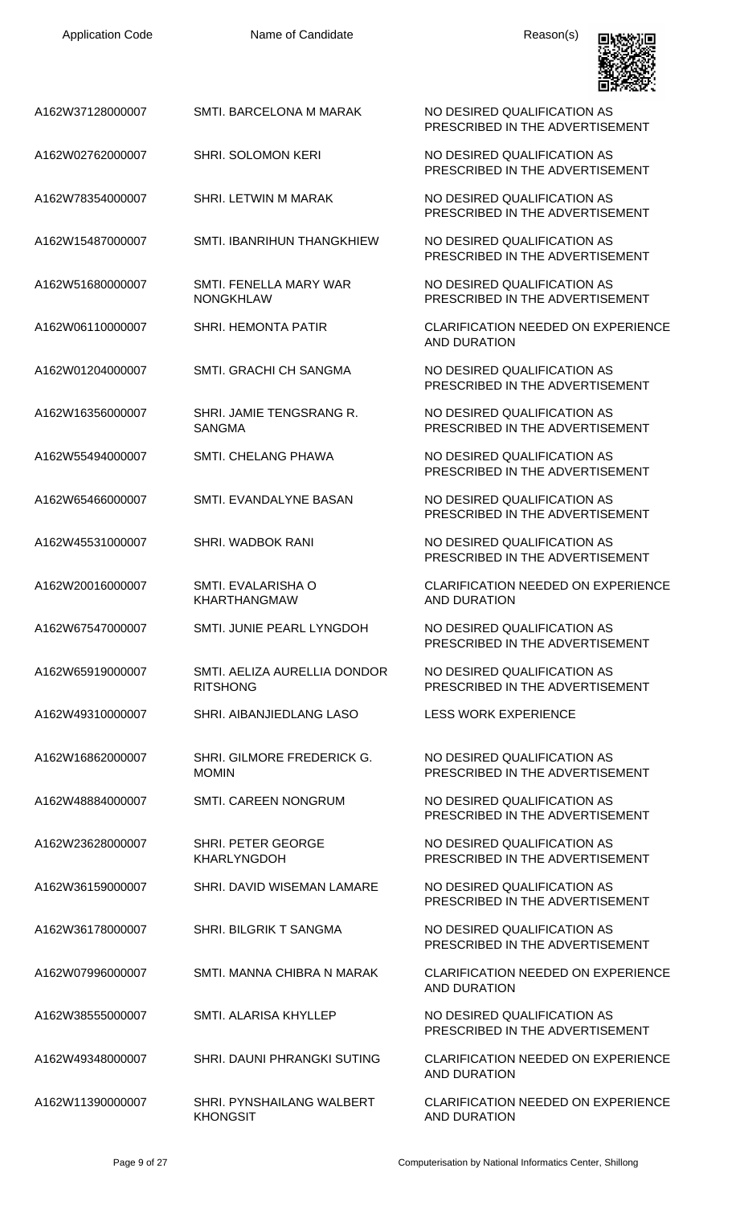| <b>Application Code</b> | Name of Candidate                               | Reason(s)                                                        |
|-------------------------|-------------------------------------------------|------------------------------------------------------------------|
| A162W37128000007        | SMTI. BARCELONA M MARAK                         | NO DESIRED QUALIFICATION AS<br>PRESCRIBED IN THE ADVERTISEMENT   |
| A162W02762000007        | SHRI. SOLOMON KERI                              | NO DESIRED QUALIFICATION AS<br>PRESCRIBED IN THE ADVERTISEMENT   |
| A162W78354000007        | SHRI. LETWIN M MARAK                            | NO DESIRED QUALIFICATION AS<br>PRESCRIBED IN THE ADVERTISEMENT   |
| A162W15487000007        | SMTI. IBANRIHUN THANGKHIEW                      | NO DESIRED QUALIFICATION AS<br>PRESCRIBED IN THE ADVERTISEMENT   |
| A162W51680000007        | SMTI. FENELLA MARY WAR<br><b>NONGKHLAW</b>      | NO DESIRED QUALIFICATION AS<br>PRESCRIBED IN THE ADVERTISEMENT   |
| A162W06110000007        | <b>SHRI. HEMONTA PATIR</b>                      | <b>CLARIFICATION NEEDED ON EXPERIENCE</b><br><b>AND DURATION</b> |
| A162W01204000007        | <b>SMTI. GRACHI CH SANGMA</b>                   | NO DESIRED QUALIFICATION AS<br>PRESCRIBED IN THE ADVERTISEMENT   |
| A162W16356000007        | SHRI. JAMIE TENGSRANG R.<br><b>SANGMA</b>       | NO DESIRED QUALIFICATION AS<br>PRESCRIBED IN THE ADVERTISEMENT   |
| A162W55494000007        | SMTI. CHELANG PHAWA                             | NO DESIRED QUALIFICATION AS<br>PRESCRIBED IN THE ADVERTISEMENT   |
| A162W65466000007        | SMTI. EVANDALYNE BASAN                          | NO DESIRED QUALIFICATION AS<br>PRESCRIBED IN THE ADVERTISEMENT   |
| A162W45531000007        | SHRI. WADBOK RANI                               | NO DESIRED QUALIFICATION AS<br>PRESCRIBED IN THE ADVERTISEMENT   |
| A162W20016000007        | SMTI. EVALARISHA O<br><b>KHARTHANGMAW</b>       | <b>CLARIFICATION NEEDED ON EXPERIENCE</b><br><b>AND DURATION</b> |
| A162W67547000007        | SMTI. JUNIE PEARL LYNGDOH                       | NO DESIRED QUALIFICATION AS<br>PRESCRIBED IN THE ADVERTISEMENT   |
| A162W65919000007        | SMTI. AELIZA AURELLIA DONDOR<br><b>RITSHONG</b> | NO DESIRED QUALIFICATION AS<br>PRESCRIBED IN THE ADVERTISEMENT   |
| A162W49310000007        | SHRI. AIBANJIEDLANG LASO                        | <b>LESS WORK EXPERIENCE</b>                                      |
| A162W16862000007        | SHRI. GILMORE FREDERICK G.<br><b>MOMIN</b>      | NO DESIRED QUALIFICATION AS<br>PRESCRIBED IN THE ADVERTISEMENT   |
| A162W48884000007        | SMTI. CAREEN NONGRUM                            | NO DESIRED QUALIFICATION AS<br>PRESCRIBED IN THE ADVERTISEMENT   |
| A162W23628000007        | SHRI. PETER GEORGE<br><b>KHARLYNGDOH</b>        | NO DESIRED QUALIFICATION AS<br>PRESCRIBED IN THE ADVERTISEMENT   |
| A162W36159000007        | SHRI. DAVID WISEMAN LAMARE                      | NO DESIRED QUALIFICATION AS<br>PRESCRIBED IN THE ADVERTISEMENT   |
| A162W36178000007        | SHRI. BILGRIK T SANGMA                          | NO DESIRED QUALIFICATION AS<br>PRESCRIBED IN THE ADVERTISEMENT   |
| A162W07996000007        | SMTI. MANNA CHIBRA N MARAK                      | <b>CLARIFICATION NEEDED ON EXPERIENCE</b><br><b>AND DURATION</b> |
| A162W38555000007        | SMTI. ALARISA KHYLLEP                           | NO DESIRED QUALIFICATION AS<br>PRESCRIBED IN THE ADVERTISEMENT   |
| A162W49348000007        | SHRI. DAUNI PHRANGKI SUTING                     | <b>CLARIFICATION NEEDED ON EXPERIENCE</b><br><b>AND DURATION</b> |
| A162W11390000007        | SHRI. PYNSHAILANG WALBERT<br><b>KHONGSIT</b>    | CLARIFICATION NEEDED ON EXPERIENCE<br><b>AND DURATION</b>        |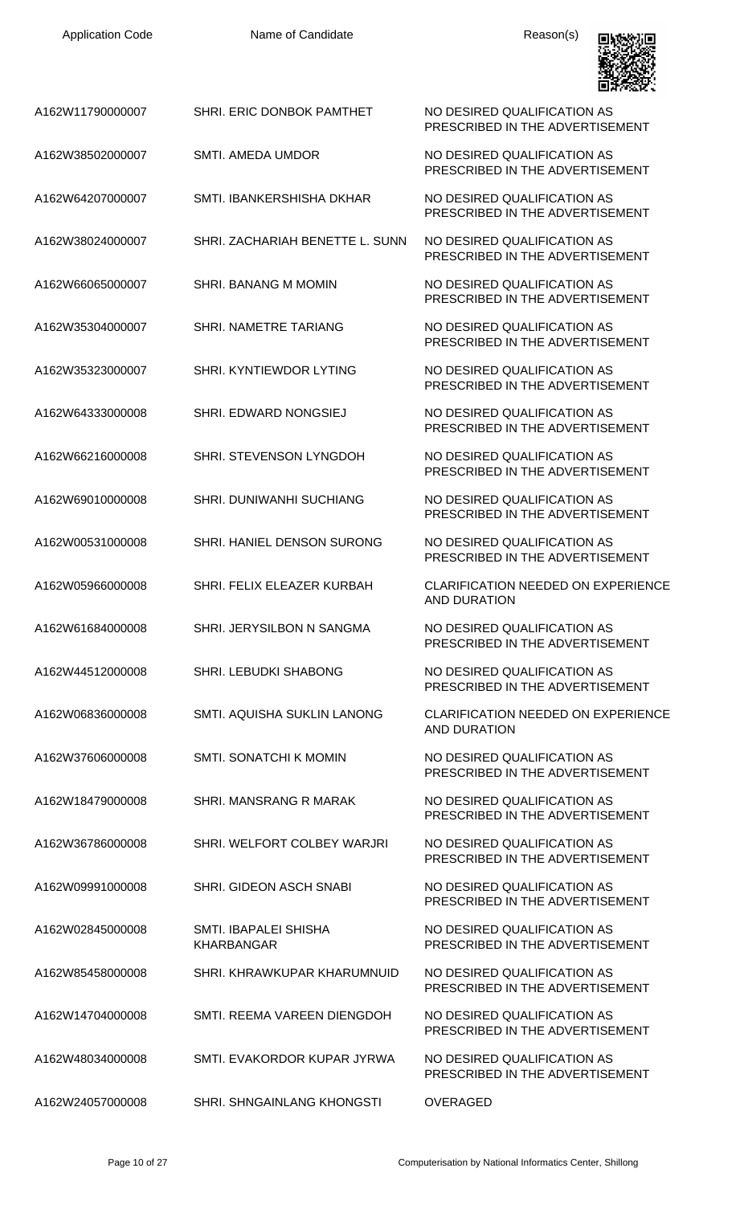

| A162W11790000007 | SHRI. ERIC DONBOK PAMTHET                  | NO DESIRED QUALIFICATION AS<br>PRESCRIBED IN THE ADVERTISEMENT   |
|------------------|--------------------------------------------|------------------------------------------------------------------|
| A162W38502000007 | SMTI. AMEDA UMDOR                          | NO DESIRED QUALIFICATION AS<br>PRESCRIBED IN THE ADVERTISEMENT   |
| A162W64207000007 | SMTI. IBANKERSHISHA DKHAR                  | NO DESIRED QUALIFICATION AS<br>PRESCRIBED IN THE ADVERTISEMENT   |
| A162W38024000007 | SHRI. ZACHARIAH BENETTE L. SUNN            | NO DESIRED QUALIFICATION AS<br>PRESCRIBED IN THE ADVERTISEMENT   |
| A162W66065000007 | SHRI. BANANG M MOMIN                       | NO DESIRED QUALIFICATION AS<br>PRESCRIBED IN THE ADVERTISEMENT   |
| A162W35304000007 | SHRI. NAMETRE TARIANG                      | NO DESIRED QUALIFICATION AS<br>PRESCRIBED IN THE ADVERTISEMENT   |
| A162W35323000007 | SHRI, KYNTIEWDOR LYTING                    | NO DESIRED QUALIFICATION AS<br>PRESCRIBED IN THE ADVERTISEMENT   |
| A162W64333000008 | SHRI. EDWARD NONGSIEJ                      | NO DESIRED QUALIFICATION AS<br>PRESCRIBED IN THE ADVERTISEMENT   |
| A162W66216000008 | SHRI. STEVENSON LYNGDOH                    | NO DESIRED QUALIFICATION AS<br>PRESCRIBED IN THE ADVERTISEMENT   |
| A162W69010000008 | SHRI. DUNIWANHI SUCHIANG                   | NO DESIRED QUALIFICATION AS<br>PRESCRIBED IN THE ADVERTISEMENT   |
| A162W00531000008 | SHRI. HANIEL DENSON SURONG                 | NO DESIRED QUALIFICATION AS<br>PRESCRIBED IN THE ADVERTISEMENT   |
| A162W05966000008 | SHRI. FELIX ELEAZER KURBAH                 | <b>CLARIFICATION NEEDED ON EXPERIENCE</b><br><b>AND DURATION</b> |
| A162W61684000008 | SHRI. JERYSILBON N SANGMA                  | NO DESIRED QUALIFICATION AS<br>PRESCRIBED IN THE ADVERTISEMENT   |
| A162W44512000008 | SHRI. LEBUDKI SHABONG                      | NO DESIRED QUALIFICATION AS<br>PRESCRIBED IN THE ADVERTISEMENT   |
| A162W06836000008 | SMTI. AQUISHA SUKLIN LANONG                | <b>CLARIFICATION NEEDED ON EXPERIENCE</b><br><b>AND DURATION</b> |
| A162W37606000008 | <b>SMTI. SONATCHI K MOMIN</b>              | NO DESIRED QUALIFICATION AS<br>PRESCRIBED IN THE ADVERTISEMENT   |
| A162W18479000008 | SHRI. MANSRANG R MARAK                     | NO DESIRED QUALIFICATION AS<br>PRESCRIBED IN THE ADVERTISEMENT   |
| A162W36786000008 | SHRI. WELFORT COLBEY WARJRI                | NO DESIRED QUALIFICATION AS<br>PRESCRIBED IN THE ADVERTISEMENT   |
| A162W09991000008 | SHRI. GIDEON ASCH SNABI                    | NO DESIRED QUALIFICATION AS<br>PRESCRIBED IN THE ADVERTISEMENT   |
| A162W02845000008 | SMTI. IBAPALEI SHISHA<br><b>KHARBANGAR</b> | NO DESIRED QUALIFICATION AS<br>PRESCRIBED IN THE ADVERTISEMENT   |
| A162W85458000008 | SHRI. KHRAWKUPAR KHARUMNUID                | NO DESIRED QUALIFICATION AS<br>PRESCRIBED IN THE ADVERTISEMENT   |
| A162W14704000008 | SMTI. REEMA VAREEN DIENGDOH                | NO DESIRED QUALIFICATION AS<br>PRESCRIBED IN THE ADVERTISEMENT   |
| A162W48034000008 | SMTI. EVAKORDOR KUPAR JYRWA                | NO DESIRED QUALIFICATION AS<br>PRESCRIBED IN THE ADVERTISEMENT   |
| A162W24057000008 | SHRI. SHNGAINLANG KHONGSTI                 | <b>OVERAGED</b>                                                  |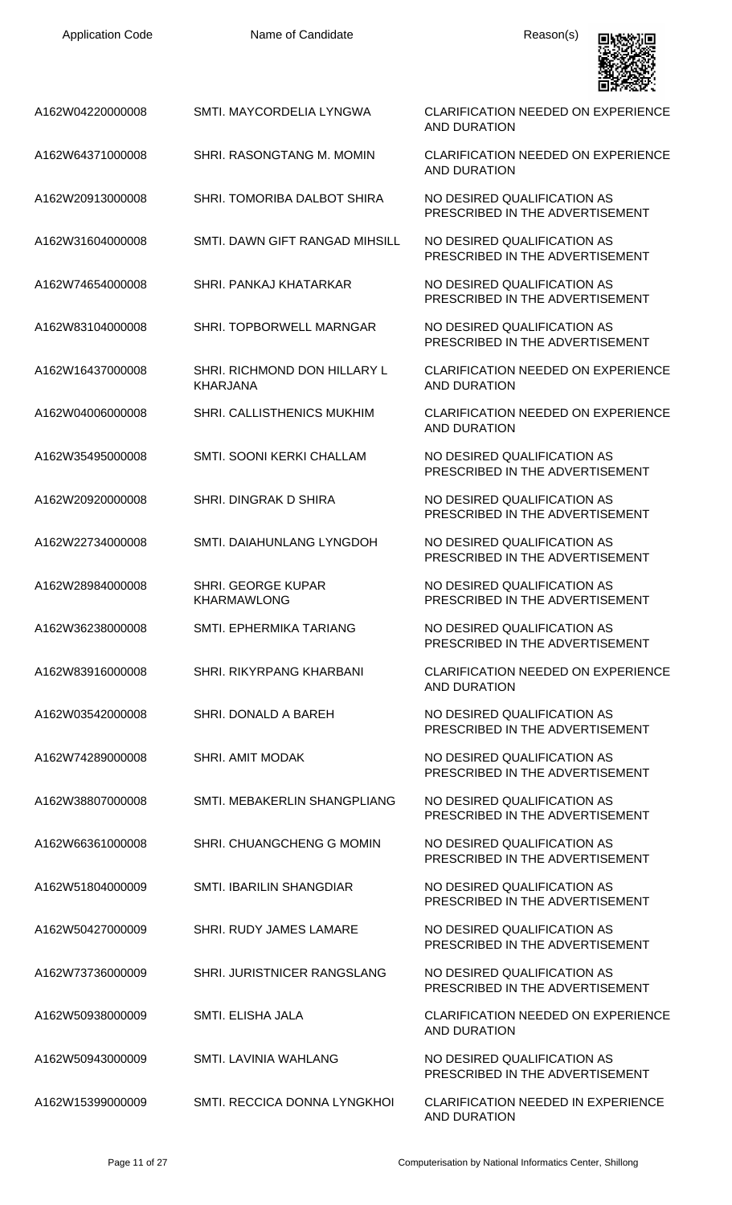| <b>Application Code</b> | Name of Candidate                               | Reason(s)                                                        |
|-------------------------|-------------------------------------------------|------------------------------------------------------------------|
| A162W04220000008        | SMTI. MAYCORDELIA LYNGWA                        | <b>CLARIFICATION NEEDED ON EXPERIENCE</b><br><b>AND DURATION</b> |
| A162W64371000008        | SHRI. RASONGTANG M. MOMIN                       | <b>CLARIFICATION NEEDED ON EXPERIENCE</b><br><b>AND DURATION</b> |
| A162W20913000008        | SHRI. TOMORIBA DALBOT SHIRA                     | NO DESIRED QUALIFICATION AS<br>PRESCRIBED IN THE ADVERTISEMENT   |
| A162W31604000008        | SMTI. DAWN GIFT RANGAD MIHSILL                  | NO DESIRED QUALIFICATION AS<br>PRESCRIBED IN THE ADVERTISEMENT   |
| A162W74654000008        | SHRI, PANKAJ KHATARKAR                          | NO DESIRED QUALIFICATION AS<br>PRESCRIBED IN THE ADVERTISEMENT   |
| A162W83104000008        | SHRI. TOPBORWELL MARNGAR                        | NO DESIRED QUALIFICATION AS<br>PRESCRIBED IN THE ADVERTISEMENT   |
| A162W16437000008        | SHRI. RICHMOND DON HILLARY L<br>KHARJANA        | <b>CLARIFICATION NEEDED ON EXPERIENCE</b><br><b>AND DURATION</b> |
| A162W04006000008        | SHRI. CALLISTHENICS MUKHIM                      | <b>CLARIFICATION NEEDED ON EXPERIENCE</b><br><b>AND DURATION</b> |
| A162W35495000008        | SMTI. SOONI KERKI CHALLAM                       | NO DESIRED QUALIFICATION AS<br>PRESCRIBED IN THE ADVERTISEMENT   |
| A162W20920000008        | SHRI. DINGRAK D SHIRA                           | NO DESIRED QUALIFICATION AS<br>PRESCRIBED IN THE ADVERTISEMENT   |
| A162W22734000008        | SMTI. DAIAHUNLANG LYNGDOH                       | NO DESIRED QUALIFICATION AS<br>PRESCRIBED IN THE ADVERTISEMENT   |
| A162W28984000008        | <b>SHRI. GEORGE KUPAR</b><br><b>KHARMAWLONG</b> | NO DESIRED QUALIFICATION AS<br>PRESCRIBED IN THE ADVERTISEMENT   |
| A162W36238000008        | SMTI. EPHERMIKA TARIANG                         | NO DESIRED QUALIFICATION AS<br>PRESCRIBED IN THE ADVERTISEMENT   |
| A162W83916000008        | SHRI. RIKYRPANG KHARBANI                        | <b>CLARIFICATION NEEDED ON EXPERIENCE</b><br><b>AND DURATION</b> |
| A162W03542000008        | SHRI. DONALD A BAREH                            | NO DESIRED QUALIFICATION AS<br>PRESCRIBED IN THE ADVERTISEMENT   |
| A162W74289000008        | SHRI. AMIT MODAK                                | NO DESIRED QUALIFICATION AS<br>PRESCRIBED IN THE ADVERTISEMENT   |
| A162W38807000008        | SMTI. MEBAKERLIN SHANGPLIANG                    | NO DESIRED QUALIFICATION AS<br>PRESCRIBED IN THE ADVERTISEMENT   |
| A162W66361000008        | SHRI. CHUANGCHENG G MOMIN                       | NO DESIRED QUALIFICATION AS                                      |

A162W51804000009 SMTI. IBARILIN SHANGDIAR NO DESIRED QUALIFICATION AS PRESCRIBED IN THE ADVERTISEMENT A162W50427000009 SHRI. RUDY JAMES LAMARE NO DESIRED QUALIFICATION AS PRESCRIBED IN THE ADVERTISEMENT

A162W73736000009 SHRI. JURISTNICER RANGSLANG NO DESIRED QUALIFICATION AS PRESCRIBED IN THE ADVERTISEMENT

PRESCRIBED IN THE ADVERTISEMENT

A162W50938000009 SMTI. ELISHA JALA CLARIFICATION NEEDED ON EXPERIENCE AND DURATION

A162W50943000009 SMTI. LAVINIA WAHLANG NO DESIRED QUALIFICATION AS PRESCRIBED IN THE ADVERTISEMENT

A162W15399000009 SMTI. RECCICA DONNA LYNGKHOI CLARIFICATION NEEDED IN EXPERIENCE AND DURATION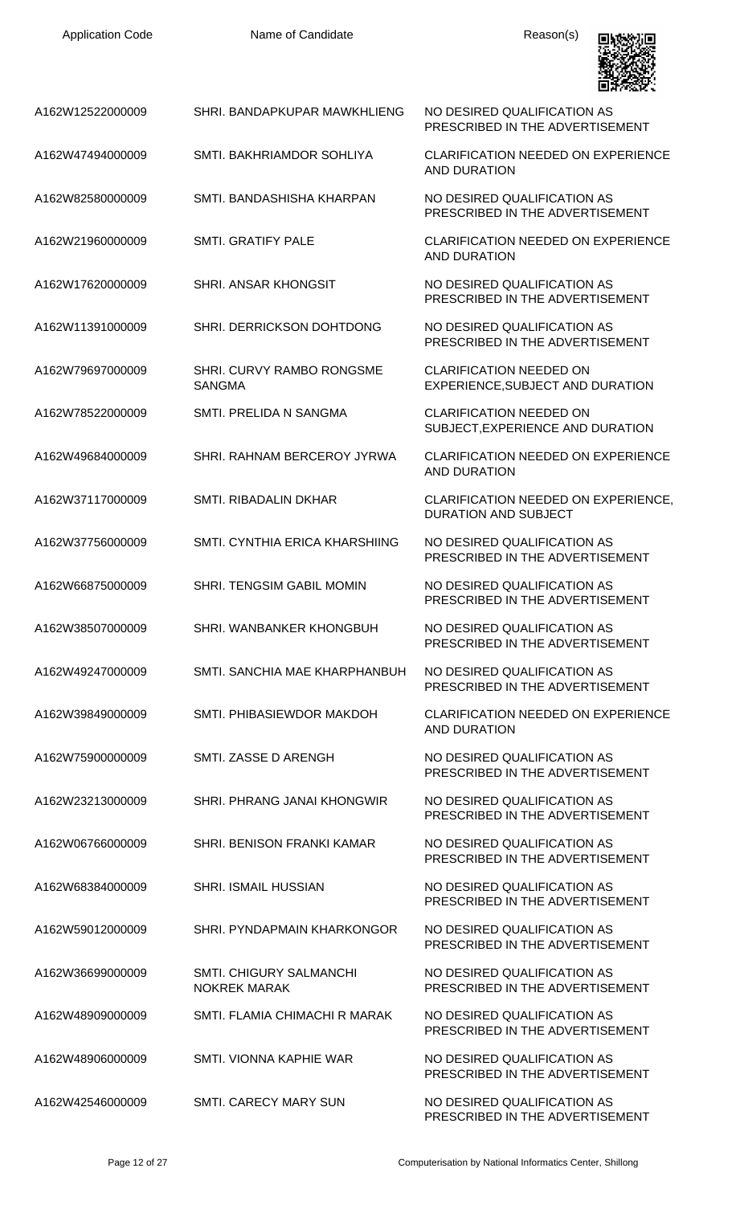Name of Candidate **Reason(s)** 



| A162W12522000009 | SHRI. BANDAPKUPAR MAWKHLIENG                   | NO DESIRED QUALIFICATION AS<br>PRESCRIBED IN THE ADVERTISEMENT     |
|------------------|------------------------------------------------|--------------------------------------------------------------------|
| A162W47494000009 | SMTI, BAKHRIAMDOR SOHLIYA                      | <b>CLARIFICATION NEEDED ON EXPERIENCE</b><br><b>AND DURATION</b>   |
| A162W82580000009 | SMTI. BANDASHISHA KHARPAN                      | NO DESIRED QUALIFICATION AS<br>PRESCRIBED IN THE ADVERTISEMENT     |
| A162W21960000009 | <b>SMTI. GRATIFY PALE</b>                      | <b>CLARIFICATION NEEDED ON EXPERIENCE</b><br><b>AND DURATION</b>   |
| A162W17620000009 | <b>SHRI. ANSAR KHONGSIT</b>                    | NO DESIRED QUALIFICATION AS<br>PRESCRIBED IN THE ADVERTISEMENT     |
| A162W11391000009 | SHRI. DERRICKSON DOHTDONG                      | NO DESIRED QUALIFICATION AS<br>PRESCRIBED IN THE ADVERTISEMENT     |
| A162W79697000009 | SHRI. CURVY RAMBO RONGSME<br><b>SANGMA</b>     | <b>CLARIFICATION NEEDED ON</b><br>EXPERIENCE, SUBJECT AND DURATION |
| A162W78522000009 | SMTI. PRELIDA N SANGMA                         | <b>CLARIFICATION NEEDED ON</b><br>SUBJECT, EXPERIENCE AND DURATION |
| A162W49684000009 | SHRI. RAHNAM BERCEROY JYRWA                    | <b>CLARIFICATION NEEDED ON EXPERIENCE</b><br><b>AND DURATION</b>   |
| A162W37117000009 | SMTI. RIBADALIN DKHAR                          | CLARIFICATION NEEDED ON EXPERIENCE,<br><b>DURATION AND SUBJECT</b> |
| A162W37756000009 | SMTI. CYNTHIA ERICA KHARSHIING                 | NO DESIRED QUALIFICATION AS<br>PRESCRIBED IN THE ADVERTISEMENT     |
| A162W66875000009 | SHRI. TENGSIM GABIL MOMIN                      | NO DESIRED QUALIFICATION AS<br>PRESCRIBED IN THE ADVERTISEMENT     |
| A162W38507000009 | SHRI. WANBANKER KHONGBUH                       | NO DESIRED QUALIFICATION AS<br>PRESCRIBED IN THE ADVERTISEMENT     |
| A162W49247000009 | SMTI. SANCHIA MAE KHARPHANBUH                  | NO DESIRED QUALIFICATION AS<br>PRESCRIBED IN THE ADVERTISEMENT     |
| A162W39849000009 | SMTI. PHIBASIEWDOR MAKDOH                      | <b>CLARIFICATION NEEDED ON EXPERIENCE</b><br><b>AND DURATION</b>   |
| A162W75900000009 | SMTI. ZASSE D ARENGH                           | NO DESIRED QUALIFICATION AS<br>PRESCRIBED IN THE ADVERTISEMENT     |
| A162W23213000009 | SHRI. PHRANG JANAI KHONGWIR                    | NO DESIRED QUALIFICATION AS<br>PRESCRIBED IN THE ADVERTISEMENT     |
| A162W06766000009 | SHRI. BENISON FRANKI KAMAR                     | NO DESIRED QUALIFICATION AS<br>PRESCRIBED IN THE ADVERTISEMENT     |
| A162W68384000009 | <b>SHRI. ISMAIL HUSSIAN</b>                    | NO DESIRED QUALIFICATION AS<br>PRESCRIBED IN THE ADVERTISEMENT     |
| A162W59012000009 | SHRI. PYNDAPMAIN KHARKONGOR                    | NO DESIRED QUALIFICATION AS<br>PRESCRIBED IN THE ADVERTISEMENT     |
| A162W36699000009 | SMTI. CHIGURY SALMANCHI<br><b>NOKREK MARAK</b> | NO DESIRED QUALIFICATION AS<br>PRESCRIBED IN THE ADVERTISEMENT     |
| A162W48909000009 | SMTI. FLAMIA CHIMACHI R MARAK                  | NO DESIRED QUALIFICATION AS<br>PRESCRIBED IN THE ADVERTISEMENT     |
| A162W48906000009 | SMTI. VIONNA KAPHIE WAR                        | NO DESIRED QUALIFICATION AS<br>PRESCRIBED IN THE ADVERTISEMENT     |
| A162W42546000009 | SMTI. CARECY MARY SUN                          | NO DESIRED QUALIFICATION AS<br>PRESCRIBED IN THE ADVERTISEMENT     |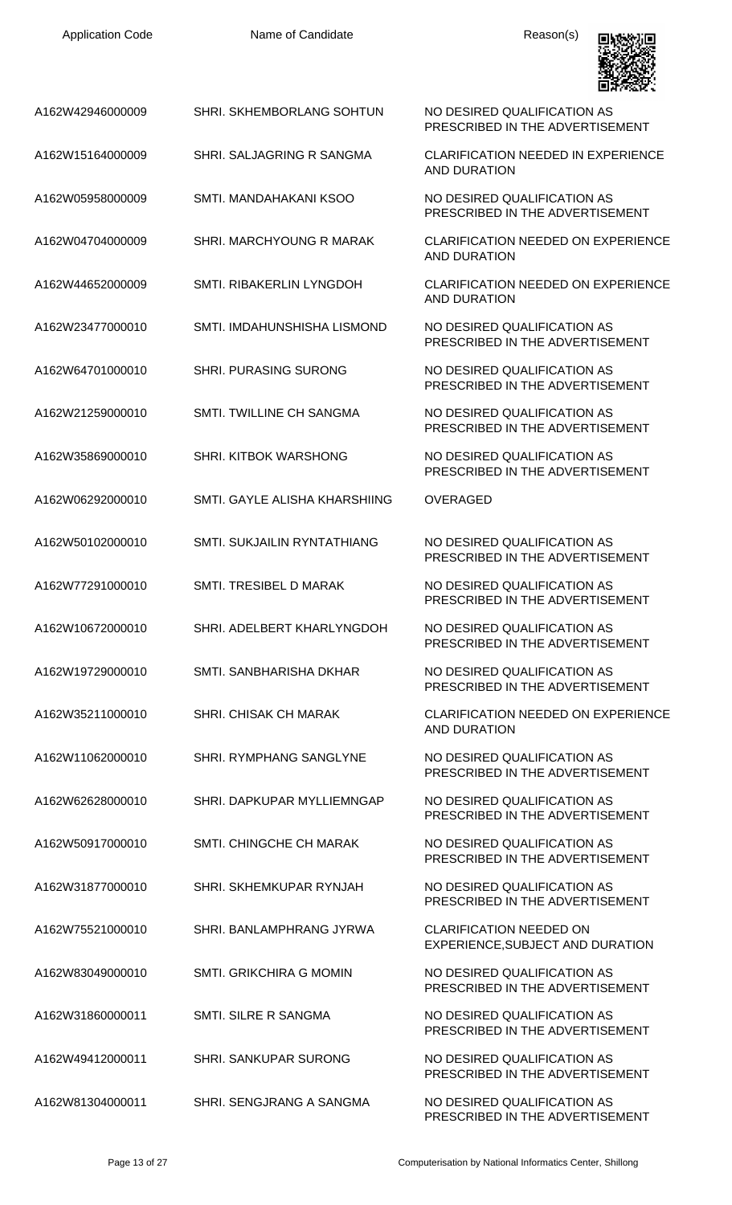| A162W42946000009 | SHRI. SKHEMBORLANG SOHTUN     | NO DESIRED QUALIFICATION AS<br>PRESCRIBED IN THE ADVERTISEMENT     |
|------------------|-------------------------------|--------------------------------------------------------------------|
| A162W15164000009 | SHRI. SALJAGRING R SANGMA     | <b>CLARIFICATION NEEDED IN EXPERIENCE</b><br><b>AND DURATION</b>   |
| A162W05958000009 | SMTI. MANDAHAKANI KSOO        | NO DESIRED QUALIFICATION AS<br>PRESCRIBED IN THE ADVERTISEMENT     |
| A162W04704000009 | SHRI. MARCHYOUNG R MARAK      | <b>CLARIFICATION NEEDED ON EXPERIENCE</b><br><b>AND DURATION</b>   |
| A162W44652000009 | SMTI. RIBAKERLIN LYNGDOH      | <b>CLARIFICATION NEEDED ON EXPERIENCE</b><br><b>AND DURATION</b>   |
| A162W23477000010 | SMTI. IMDAHUNSHISHA LISMOND   | NO DESIRED QUALIFICATION AS<br>PRESCRIBED IN THE ADVERTISEMENT     |
| A162W64701000010 | <b>SHRI. PURASING SURONG</b>  | NO DESIRED QUALIFICATION AS<br>PRESCRIBED IN THE ADVERTISEMENT     |
| A162W21259000010 | SMTI. TWILLINE CH SANGMA      | NO DESIRED QUALIFICATION AS<br>PRESCRIBED IN THE ADVERTISEMENT     |
| A162W35869000010 | SHRI. KITBOK WARSHONG         | NO DESIRED QUALIFICATION AS<br>PRESCRIBED IN THE ADVERTISEMENT     |
| A162W06292000010 | SMTI, GAYLE ALISHA KHARSHIING | <b>OVERAGED</b>                                                    |
| A162W50102000010 | SMTI. SUKJAILIN RYNTATHIANG   | NO DESIRED QUALIFICATION AS<br>PRESCRIBED IN THE ADVERTISEMENT     |
| A162W77291000010 | SMTI. TRESIBEL D MARAK        | NO DESIRED QUALIFICATION AS<br>PRESCRIBED IN THE ADVERTISEMENT     |
| A162W10672000010 | SHRI, ADELBERT KHARLYNGDOH    | NO DESIRED QUALIFICATION AS<br>PRESCRIBED IN THE ADVERTISEMENT     |
| A162W19729000010 | SMTI. SANBHARISHA DKHAR       | NO DESIRED QUALIFICATION AS<br>PRESCRIBED IN THE ADVERTISEMENT     |
| A162W35211000010 | SHRI. CHISAK CH MARAK         | <b>CLARIFICATION NEEDED ON EXPERIENCE</b><br>AND DURATION          |
| A162W11062000010 | SHRI, RYMPHANG SANGLYNE       | NO DESIRED QUALIFICATION AS<br>PRESCRIBED IN THE ADVERTISEMENT     |
| A162W62628000010 | SHRI. DAPKUPAR MYLLIEMNGAP    | NO DESIRED QUALIFICATION AS<br>PRESCRIBED IN THE ADVERTISEMENT     |
| A162W50917000010 | SMTI. CHINGCHE CH MARAK       | NO DESIRED QUALIFICATION AS<br>PRESCRIBED IN THE ADVERTISEMENT     |
| A162W31877000010 | SHRI. SKHEMKUPAR RYNJAH       | NO DESIRED QUALIFICATION AS<br>PRESCRIBED IN THE ADVERTISEMENT     |
| A162W75521000010 | SHRI. BANLAMPHRANG JYRWA      | <b>CLARIFICATION NEEDED ON</b><br>EXPERIENCE, SUBJECT AND DURATION |
| A162W83049000010 | SMTI. GRIKCHIRA G MOMIN       | NO DESIRED QUALIFICATION AS<br>PRESCRIBED IN THE ADVERTISEMENT     |
| A162W31860000011 | <b>SMTI. SILRE R SANGMA</b>   | NO DESIRED QUALIFICATION AS<br>PRESCRIBED IN THE ADVERTISEMENT     |
| A162W49412000011 | <b>SHRI. SANKUPAR SURONG</b>  | NO DESIRED QUALIFICATION AS<br>PRESCRIBED IN THE ADVERTISEMENT     |
| A162W81304000011 | SHRI. SENGJRANG A SANGMA      | NO DESIRED QUALIFICATION AS<br>PRESCRIBED IN THE ADVERTISEMENT     |

回收数回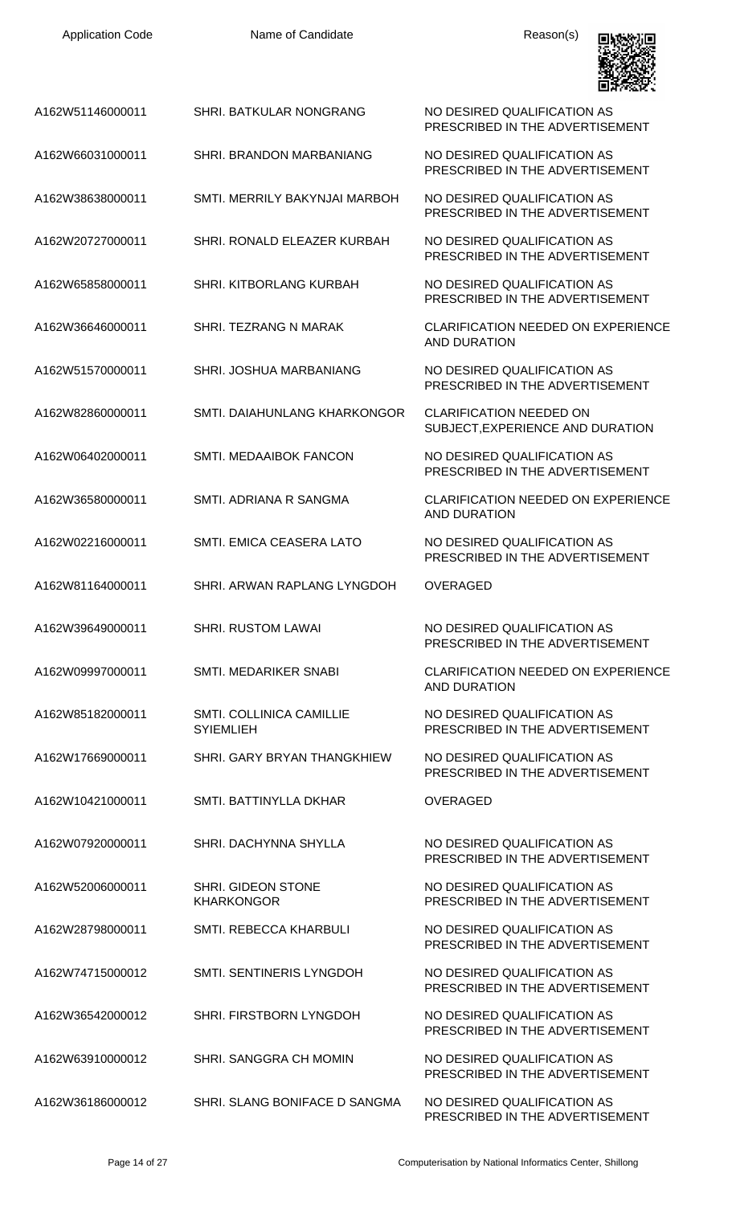| <b>Application Code</b> | Name of Candidate                                   | Reason(s)                                                          |
|-------------------------|-----------------------------------------------------|--------------------------------------------------------------------|
| A162W51146000011        | <b>SHRI. BATKULAR NONGRANG</b>                      | NO DESIRED QUALIFICATION AS<br>PRESCRIBED IN THE ADVERTISEMENT     |
| A162W66031000011        | SHRI. BRANDON MARBANIANG                            | NO DESIRED QUALIFICATION AS<br>PRESCRIBED IN THE ADVERTISEMENT     |
| A162W38638000011        | SMTI. MERRILY BAKYNJAI MARBOH                       | NO DESIRED QUALIFICATION AS<br>PRESCRIBED IN THE ADVERTISEMENT     |
| A162W20727000011        | SHRI. RONALD ELEAZER KURBAH                         | NO DESIRED QUALIFICATION AS<br>PRESCRIBED IN THE ADVERTISEMENT     |
| A162W65858000011        | <b>SHRI. KITBORLANG KURBAH</b>                      | NO DESIRED QUALIFICATION AS<br>PRESCRIBED IN THE ADVERTISEMENT     |
| A162W36646000011        | SHRI. TEZRANG N MARAK                               | <b>CLARIFICATION NEEDED ON EXPERIENCE</b><br><b>AND DURATION</b>   |
| A162W51570000011        | SHRI. JOSHUA MARBANIANG                             | NO DESIRED QUALIFICATION AS<br>PRESCRIBED IN THE ADVERTISEMENT     |
| A162W82860000011        | SMTI. DAIAHUNLANG KHARKONGOR                        | <b>CLARIFICATION NEEDED ON</b><br>SUBJECT, EXPERIENCE AND DURATION |
| A162W06402000011        | SMTI. MEDAAIBOK FANCON                              | NO DESIRED QUALIFICATION AS<br>PRESCRIBED IN THE ADVERTISEMENT     |
| A162W36580000011        | SMTI. ADRIANA R SANGMA                              | <b>CLARIFICATION NEEDED ON EXPERIENCE</b><br><b>AND DURATION</b>   |
| A162W02216000011        | SMTI. EMICA CEASERA LATO                            | NO DESIRED QUALIFICATION AS<br>PRESCRIBED IN THE ADVERTISEMENT     |
| A162W81164000011        | SHRI. ARWAN RAPLANG LYNGDOH                         | <b>OVERAGED</b>                                                    |
| A162W39649000011        | <b>SHRI. RUSTOM LAWAI</b>                           | NO DESIRED QUALIFICATION AS<br>PRESCRIBED IN THE ADVERTISEMENT     |
| A162W09997000011        | <b>SMTI. MEDARIKER SNABI</b>                        | <b>CLARIFICATION NEEDED ON EXPERIENCE</b><br><b>AND DURATION</b>   |
| A162W85182000011        | <b>SMTI. COLLINICA CAMILLIE</b><br><b>SYIEMLIEH</b> | NO DESIRED QUALIFICATION AS<br>PRESCRIBED IN THE ADVERTISEMENT     |
| A162W17669000011        | SHRI. GARY BRYAN THANGKHIEW                         | NO DESIRED QUALIFICATION AS<br>PRESCRIBED IN THE ADVERTISEMENT     |
| A162W10421000011        | SMTI. BATTINYLLA DKHAR                              | <b>OVERAGED</b>                                                    |
| A162W07920000011        | SHRI, DACHYNNA SHYLLA                               | NO DESIRED QUALIFICATION AS<br>PRESCRIBED IN THE ADVERTISEMENT     |
| A162W52006000011        | SHRI. GIDEON STONE<br><b>KHARKONGOR</b>             | NO DESIRED QUALIFICATION AS<br>PRESCRIBED IN THE ADVERTISEMENT     |
| A162W28798000011        | SMTI. REBECCA KHARBULI                              | NO DESIRED QUALIFICATION AS<br>PRESCRIBED IN THE ADVERTISEMENT     |
| A162W74715000012        | SMTI. SENTINERIS LYNGDOH                            | NO DESIRED QUALIFICATION AS<br>PRESCRIBED IN THE ADVERTISEMENT     |
| A162W36542000012        | SHRI. FIRSTBORN LYNGDOH                             | NO DESIRED QUALIFICATION AS<br>PRESCRIBED IN THE ADVERTISEMENT     |
| A162W63910000012        | <b>SHRI. SANGGRA CH MOMIN</b>                       | NO DESIRED QUALIFICATION AS<br>PRESCRIBED IN THE ADVERTISEMENT     |
| A162W36186000012        | SHRI. SLANG BONIFACE D SANGMA                       | NO DESIRED QUALIFICATION AS                                        |

PRESCRIBED IN THE ADVERTISEMENT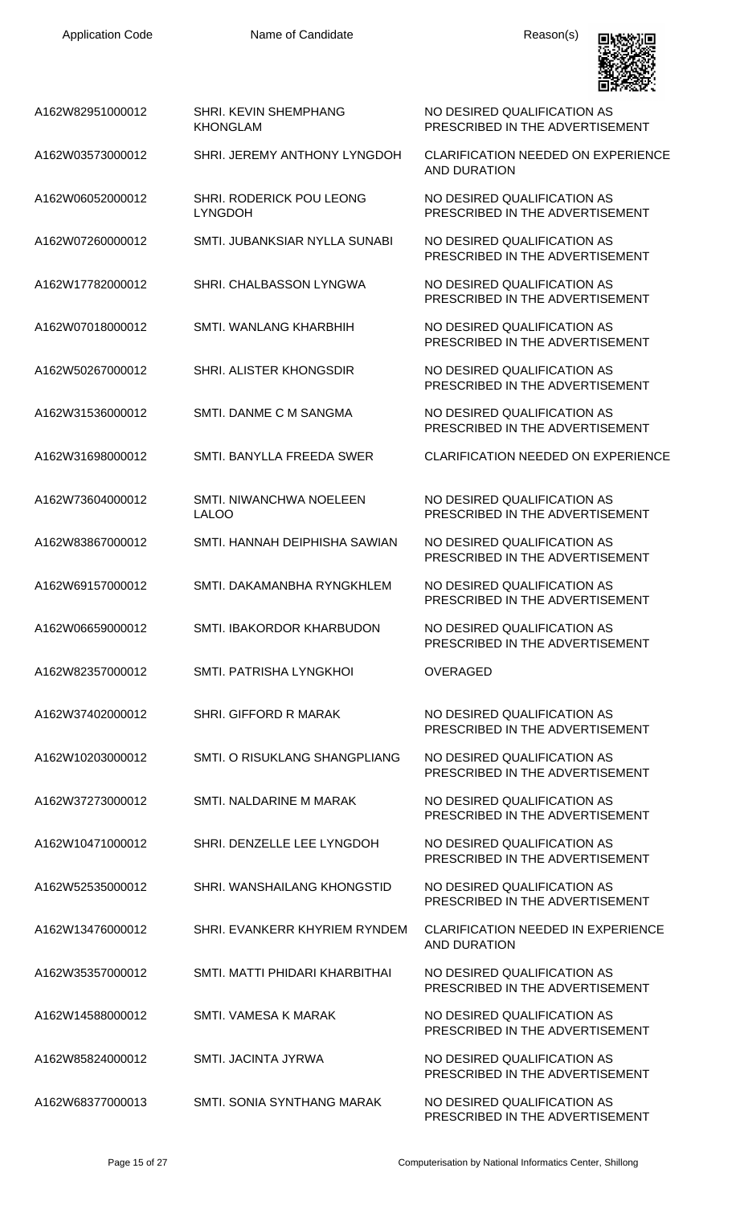Application Code **Name of Candidate** Application Code Reason(s)

NO DESIRED QUALIFICATION AS

NO DESIRED QUALIFICATION AS

AND DURATION

PRESCRIBED IN THE ADVERTISEMENT

PRESCRIBED IN THE ADVERTISEMENT

PRESCRIBED IN THE ADVERTISEMENT

PRESCRIBED IN THE ADVERTISEMENT

PRESCRIBED IN THE ADVERTISEMENT

PRESCRIBED IN THE ADVERTISEMENT

PRESCRIBED IN THE ADVERTISEMENT

PRESCRIBED IN THE ADVERTISEMENT

PRESCRIBED IN THE ADVERTISEMENT

PRESCRIBED IN THE ADVERTISEMENT

PRESCRIBED IN THE ADVERTISEMENT

PRESCRIBED IN THE ADVERTISEMENT

PRESCRIBED IN THE ADVERTISEMENT

PRESCRIBED IN THE ADVERTISEMENT

PRESCRIBED IN THE ADVERTISEMENT

PRESCRIBED IN THE ADVERTISEMENT

PRESCRIBED IN THE ADVERTISEMENT

PRESCRIBED IN THE ADVERTISEMENT

PRESCRIBED IN THE ADVERTISEMENT

PRESCRIBED IN THE ADVERTISEMENT

NO DESIRED QUALIFICATION AS



A162W82951000012 SHRI. KEVIN SHEMPHANG KHONGLAM

A162W03573000012 SHRI. JEREMY ANTHONY LYNGDOH CLARIFICATION NEEDED ON EXPERIENCE

A162W06052000012 SHRI. RODERICK POU LEONG LYNGDOH

A162W07260000012 SMTI. JUBANKSIAR NYLLA SUNABI NO DESIRED QUALIFICATION AS

A162W17782000012 SHRI. CHALBASSON LYNGWA NO DESIRED QUALIFICATION AS

A162W07018000012 SMTI. WANLANG KHARBHIH NO DESIRED QUALIFICATION AS

A162W50267000012 SHRI. ALISTER KHONGSDIR NO DESIRED QUALIFICATION AS

A162W31536000012 SMTI. DANME C M SANGMA NO DESIRED QUALIFICATION AS

A162W31698000012 SMTI. BANYLLA FREEDA SWER CLARIFICATION NEEDED ON EXPERIENCE

A162W73604000012 SMTI. NIWANCHWA NOELEEN LALOO

A162W83867000012 SMTI. HANNAH DEIPHISHA SAWIAN NO DESIRED QUALIFICATION AS

A162W69157000012 SMTI. DAKAMANBHA RYNGKHLEM NO DESIRED QUALIFICATION AS

A162W06659000012 SMTI. IBAKORDOR KHARBUDON NO DESIRED QUALIFICATION AS

A162W82357000012 SMTI. PATRISHA LYNGKHOI OVERAGED

A162W37402000012 SHRI. GIFFORD R MARAK NO DESIRED QUALIFICATION AS

A162W10203000012 SMTI. O RISUKLANG SHANGPLIANG NO DESIRED QUALIFICATION AS

A162W37273000012 SMTI. NALDARINE M MARAK NO DESIRED QUALIFICATION AS

A162W10471000012 SHRI. DENZELLE LEE LYNGDOH NO DESIRED QUALIFICATION AS

A162W52535000012 SHRI. WANSHAILANG KHONGSTID NO DESIRED QUALIFICATION AS

A162W13476000012 SHRI. EVANKERR KHYRIEM RYNDEM CLARIFICATION NEEDED IN EXPERIENCE AND DURATION

A162W35357000012 SMTI. MATTI PHIDARI KHARBITHAI NO DESIRED QUALIFICATION AS

A162W14588000012 SMTI. VAMESA K MARAK NO DESIRED QUALIFICATION AS

A162W85824000012 SMTI. JACINTA JYRWA NO DESIRED QUALIFICATION AS

A162W68377000013 SMTI. SONIA SYNTHANG MARAK NO DESIRED QUALIFICATION AS

Page 15 of 27 Computerisation by National Informatics Center, Shillong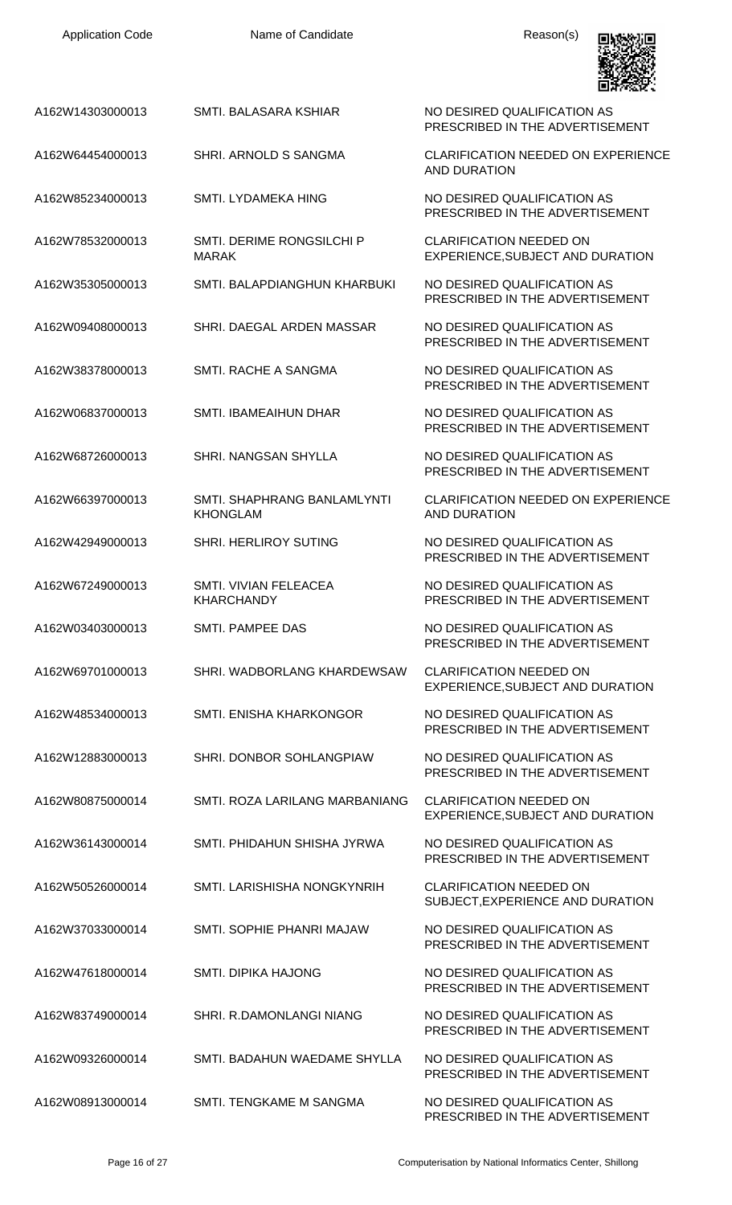| <b>Application Code</b> | Name of Candidate                              | Reason(s)                                                          |
|-------------------------|------------------------------------------------|--------------------------------------------------------------------|
| A162W14303000013        | SMTI. BALASARA KSHIAR                          | NO DESIRED QUALIFICATION AS<br>PRESCRIBED IN THE ADVERTISEMENT     |
| A162W64454000013        | SHRI. ARNOLD S SANGMA                          | <b>CLARIFICATION NEEDED ON EXPERIENCE</b><br><b>AND DURATION</b>   |
| A162W85234000013        | SMTI, LYDAMEKA HING                            | NO DESIRED QUALIFICATION AS<br>PRESCRIBED IN THE ADVERTISEMENT     |
| A162W78532000013        | SMTI. DERIME RONGSILCHI P<br><b>MARAK</b>      | <b>CLARIFICATION NEEDED ON</b><br>EXPERIENCE, SUBJECT AND DURATION |
| A162W35305000013        | SMTI. BALAPDIANGHUN KHARBUKI                   | NO DESIRED QUALIFICATION AS<br>PRESCRIBED IN THE ADVERTISEMENT     |
| A162W09408000013        | SHRI. DAEGAL ARDEN MASSAR                      | NO DESIRED QUALIFICATION AS<br>PRESCRIBED IN THE ADVERTISEMENT     |
| A162W38378000013        | <b>SMTI. RACHE A SANGMA</b>                    | NO DESIRED QUALIFICATION AS<br>PRESCRIBED IN THE ADVERTISEMENT     |
| A162W06837000013        | SMTI. IBAMEAIHUN DHAR                          | NO DESIRED QUALIFICATION AS<br>PRESCRIBED IN THE ADVERTISEMENT     |
| A162W68726000013        | SHRI. NANGSAN SHYLLA                           | NO DESIRED QUALIFICATION AS<br>PRESCRIBED IN THE ADVERTISEMENT     |
| A162W66397000013        | SMTI. SHAPHRANG BANLAMLYNTI<br><b>KHONGLAM</b> | <b>CLARIFICATION NEEDED ON EXPERIENCE</b><br><b>AND DURATION</b>   |
| A162W42949000013        | <b>SHRI. HERLIROY SUTING</b>                   | NO DESIRED QUALIFICATION AS<br>PRESCRIBED IN THE ADVERTISEMENT     |
| A162W67249000013        | SMTI. VIVIAN FELEACEA<br><b>KHARCHANDY</b>     | NO DESIRED QUALIFICATION AS<br>PRESCRIBED IN THE ADVERTISEMENT     |
| A162W03403000013        | SMTI. PAMPEE DAS                               | NO DESIRED QUALIFICATION AS<br>PRESCRIBED IN THE ADVERTISEMENT     |
| A162W69701000013        | SHRI. WADBORLANG KHARDEWSAW                    | <b>CLARIFICATION NEEDED ON</b><br>EXPERIENCE, SUBJECT AND DURATION |
| A162W48534000013        | <b>SMTI. ENISHA KHARKONGOR</b>                 | NO DESIRED QUALIFICATION AS<br>PRESCRIBED IN THE ADVERTISEMENT     |
| A162W12883000013        | SHRI. DONBOR SOHLANGPIAW                       | NO DESIRED QUALIFICATION AS<br>PRESCRIBED IN THE ADVERTISEMENT     |
| A162W80875000014        | SMTI. ROZA LARILANG MARBANIANG                 | <b>CLARIFICATION NEEDED ON</b><br>EXPERIENCE, SUBJECT AND DURATION |
| A162W36143000014        | SMTI. PHIDAHUN SHISHA JYRWA                    | NO DESIRED QUALIFICATION AS<br>PRESCRIBED IN THE ADVERTISEMENT     |
| A162W50526000014        | SMTI. LARISHISHA NONGKYNRIH                    | <b>CLARIFICATION NEEDED ON</b><br>SUBJECT, EXPERIENCE AND DURATION |
| A162W37033000014        | SMTI. SOPHIE PHANRI MAJAW                      | NO DESIRED QUALIFICATION AS<br>PRESCRIBED IN THE ADVERTISEMENT     |
| A162W47618000014        | <b>SMTI. DIPIKA HAJONG</b>                     | NO DESIRED QUALIFICATION AS<br>PRESCRIBED IN THE ADVERTISEMENT     |
| A162W83749000014        | SHRI. R.DAMONLANGI NIANG                       | NO DESIRED QUALIFICATION AS<br>PRESCRIBED IN THE ADVERTISEMENT     |
| A162W09326000014        | SMTI. BADAHUN WAEDAME SHYLLA                   | NO DESIRED QUALIFICATION AS<br>PRESCRIBED IN THE ADVERTISEMENT     |
| A162W08913000014        | SMTI. TENGKAME M SANGMA                        | NO DESIRED QUALIFICATION AS<br>PRESCRIBED IN THE ADVERTISEMENT     |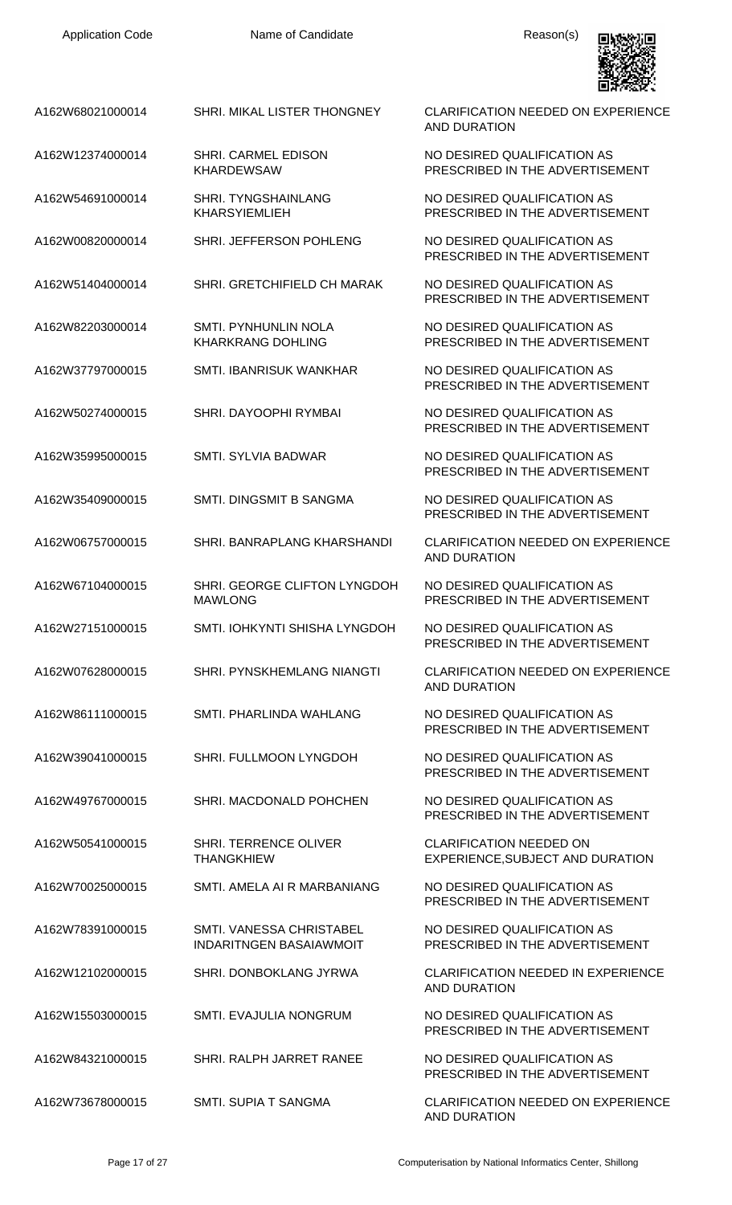

| A162W68021000014 | SHRI. MIKAL LISTER THONGNEY                                | <b>CLARIFICATION NEEDED ON EXPERIENCE</b><br>AND DURATION          |
|------------------|------------------------------------------------------------|--------------------------------------------------------------------|
| A162W12374000014 | <b>SHRI. CARMEL EDISON</b><br><b>KHARDEWSAW</b>            | NO DESIRED QUALIFICATION AS<br>PRESCRIBED IN THE ADVERTISEMENT     |
| A162W54691000014 | <b>SHRI. TYNGSHAINLANG</b><br><b>KHARSYIEMLIEH</b>         | NO DESIRED QUALIFICATION AS<br>PRESCRIBED IN THE ADVERTISEMENT     |
| A162W00820000014 | SHRI. JEFFERSON POHLENG                                    | NO DESIRED QUALIFICATION AS<br>PRESCRIBED IN THE ADVERTISEMENT     |
| A162W51404000014 | SHRI. GRETCHIFIELD CH MARAK                                | NO DESIRED QUALIFICATION AS<br>PRESCRIBED IN THE ADVERTISEMENT     |
| A162W82203000014 | SMTI. PYNHUNLIN NOLA<br><b>KHARKRANG DOHLING</b>           | NO DESIRED QUALIFICATION AS<br>PRESCRIBED IN THE ADVERTISEMENT     |
| A162W37797000015 | <b>SMTI. IBANRISUK WANKHAR</b>                             | NO DESIRED QUALIFICATION AS<br>PRESCRIBED IN THE ADVERTISEMENT     |
| A162W50274000015 | SHRI, DAYOOPHI RYMBAI                                      | NO DESIRED QUALIFICATION AS<br>PRESCRIBED IN THE ADVERTISEMENT     |
| A162W35995000015 | <b>SMTI. SYLVIA BADWAR</b>                                 | NO DESIRED QUALIFICATION AS<br>PRESCRIBED IN THE ADVERTISEMENT     |
| A162W35409000015 | SMTI. DINGSMIT B SANGMA                                    | NO DESIRED QUALIFICATION AS<br>PRESCRIBED IN THE ADVERTISEMENT     |
| A162W06757000015 | SHRI. BANRAPLANG KHARSHANDI                                | <b>CLARIFICATION NEEDED ON EXPERIENCE</b><br><b>AND DURATION</b>   |
| A162W67104000015 | SHRI. GEORGE CLIFTON LYNGDOH<br><b>MAWLONG</b>             | NO DESIRED QUALIFICATION AS<br>PRESCRIBED IN THE ADVERTISEMENT     |
| A162W27151000015 | SMTI. IOHKYNTI SHISHA LYNGDOH                              | NO DESIRED QUALIFICATION AS<br>PRESCRIBED IN THE ADVERTISEMENT     |
| A162W07628000015 | SHRI. PYNSKHEMLANG NIANGTI                                 | <b>CLARIFICATION NEEDED ON EXPERIENCE</b><br><b>AND DURATION</b>   |
| A162W86111000015 | SMTI. PHARLINDA WAHLANG                                    | NO DESIRED QUALIFICATION AS<br>PRESCRIBED IN THE ADVERTISEMENT     |
| A162W39041000015 | SHRI. FULLMOON LYNGDOH                                     | NO DESIRED QUALIFICATION AS<br>PRESCRIBED IN THE ADVERTISEMENT     |
| A162W49767000015 | SHRI. MACDONALD POHCHEN                                    | NO DESIRED QUALIFICATION AS<br>PRESCRIBED IN THE ADVERTISEMENT     |
| A162W50541000015 | SHRI. TERRENCE OLIVER<br><b>THANGKHIEW</b>                 | <b>CLARIFICATION NEEDED ON</b><br>EXPERIENCE, SUBJECT AND DURATION |
| A162W70025000015 | SMTI. AMELA AI R MARBANIANG                                | NO DESIRED QUALIFICATION AS<br>PRESCRIBED IN THE ADVERTISEMENT     |
| A162W78391000015 | SMTI. VANESSA CHRISTABEL<br><b>INDARITNGEN BASAIAWMOIT</b> | NO DESIRED QUALIFICATION AS<br>PRESCRIBED IN THE ADVERTISEMENT     |
| A162W12102000015 | SHRI. DONBOKLANG JYRWA                                     | <b>CLARIFICATION NEEDED IN EXPERIENCE</b><br><b>AND DURATION</b>   |
| A162W15503000015 | SMTI. EVAJULIA NONGRUM                                     | NO DESIRED QUALIFICATION AS<br>PRESCRIBED IN THE ADVERTISEMENT     |
| A162W84321000015 | SHRI. RALPH JARRET RANEE                                   | NO DESIRED QUALIFICATION AS<br>PRESCRIBED IN THE ADVERTISEMENT     |
| A162W73678000015 | SMTI. SUPIA T SANGMA                                       | <b>CLARIFICATION NEEDED ON EXPERIENCE</b><br><b>AND DURATION</b>   |
|                  |                                                            |                                                                    |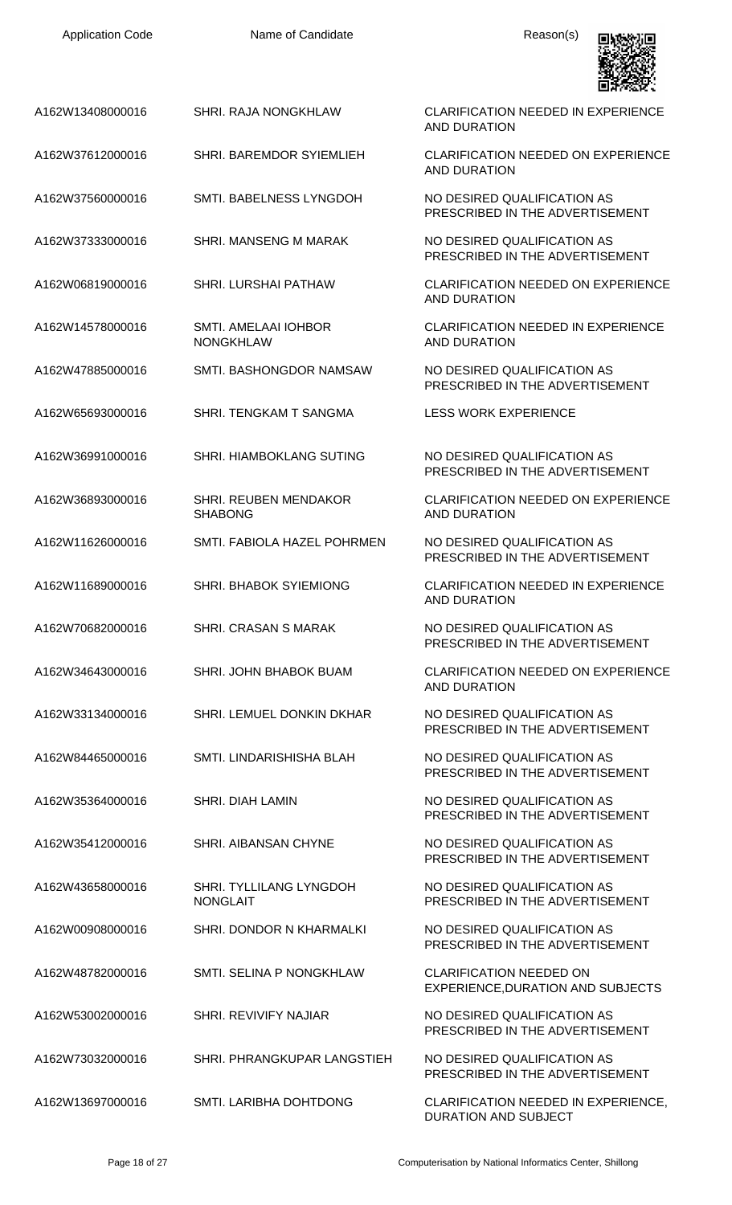| <b>Application Code</b> | Name of Candidate                          | Reason(s)                                                           |
|-------------------------|--------------------------------------------|---------------------------------------------------------------------|
| A162W13408000016        | SHRI. RAJA NONGKHLAW                       | <b>CLARIFICATION NEEDED IN EXPERIENCE</b><br><b>AND DURATION</b>    |
| A162W37612000016        | SHRI. BAREMDOR SYIEMLIEH                   | <b>CLARIFICATION NEEDED ON EXPERIENCE</b><br><b>AND DURATION</b>    |
| A162W37560000016        | SMTI. BABELNESS LYNGDOH                    | NO DESIRED QUALIFICATION AS<br>PRESCRIBED IN THE ADVERTISEMENT      |
| A162W37333000016        | SHRI. MANSENG M MARAK                      | NO DESIRED QUALIFICATION AS<br>PRESCRIBED IN THE ADVERTISEMENT      |
| A162W06819000016        | <b>SHRI. LURSHAI PATHAW</b>                | <b>CLARIFICATION NEEDED ON EXPERIENCE</b><br><b>AND DURATION</b>    |
| A162W14578000016        | SMTI. AMELAAI IOHBOR<br><b>NONGKHLAW</b>   | <b>CLARIFICATION NEEDED IN EXPERIENCE</b><br><b>AND DURATION</b>    |
| A162W47885000016        | SMTI. BASHONGDOR NAMSAW                    | NO DESIRED QUALIFICATION AS<br>PRESCRIBED IN THE ADVERTISEMENT      |
| A162W65693000016        | SHRI. TENGKAM T SANGMA                     | <b>LESS WORK EXPERIENCE</b>                                         |
| A162W36991000016        | <b>SHRI. HIAMBOKLANG SUTING</b>            | NO DESIRED QUALIFICATION AS<br>PRESCRIBED IN THE ADVERTISEMENT      |
| A162W36893000016        | SHRI. REUBEN MENDAKOR<br><b>SHABONG</b>    | <b>CLARIFICATION NEEDED ON EXPERIENCE</b><br><b>AND DURATION</b>    |
| A162W11626000016        | SMTI. FABIOLA HAZEL POHRMEN                | NO DESIRED QUALIFICATION AS<br>PRESCRIBED IN THE ADVERTISEMENT      |
| A162W11689000016        | SHRI. BHABOK SYIEMIONG                     | <b>CLARIFICATION NEEDED IN EXPERIENCE</b><br><b>AND DURATION</b>    |
| A162W70682000016        | SHRI. CRASAN S MARAK                       | NO DESIRED QUALIFICATION AS<br>PRESCRIBED IN THE ADVERTISEMENT      |
| A162W34643000016        | SHRI. JOHN BHABOK BUAM                     | <b>CLARIFICATION NEEDED ON EXPERIENCE</b><br><b>AND DURATION</b>    |
| A162W33134000016        | SHRI. LEMUEL DONKIN DKHAR                  | NO DESIRED QUALIFICATION AS<br>PRESCRIBED IN THE ADVERTISEMENT      |
| A162W84465000016        | SMTI. LINDARISHISHA BLAH                   | NO DESIRED QUALIFICATION AS<br>PRESCRIBED IN THE ADVERTISEMENT      |
| A162W35364000016        | <b>SHRI. DIAH LAMIN</b>                    | NO DESIRED QUALIFICATION AS<br>PRESCRIBED IN THE ADVERTISEMENT      |
| A162W35412000016        | SHRI. AIBANSAN CHYNE                       | NO DESIRED QUALIFICATION AS<br>PRESCRIBED IN THE ADVERTISEMENT      |
| A162W43658000016        | SHRI. TYLLILANG LYNGDOH<br><b>NONGLAIT</b> | NO DESIRED QUALIFICATION AS<br>PRESCRIBED IN THE ADVERTISEMENT      |
| A162W00908000016        | SHRI. DONDOR N KHARMALKI                   | NO DESIRED QUALIFICATION AS<br>PRESCRIBED IN THE ADVERTISEMENT      |
| A162W48782000016        | SMTI. SELINA P NONGKHLAW                   | <b>CLARIFICATION NEEDED ON</b><br>EXPERIENCE, DURATION AND SUBJECTS |
| A162W53002000016        | <b>SHRI. REVIVIFY NAJIAR</b>               | NO DESIRED QUALIFICATION AS<br>PRESCRIBED IN THE ADVERTISEMENT      |
| A162W73032000016        | SHRI. PHRANGKUPAR LANGSTIEH                | NO DESIRED QUALIFICATION AS<br>PRESCRIBED IN THE ADVERTISEMENT      |
| A162W13697000016        | SMTI. LARIBHA DOHTDONG                     | CLARIFICATION NEEDED IN EXPERIENCE,                                 |

DURATION AND SUBJECT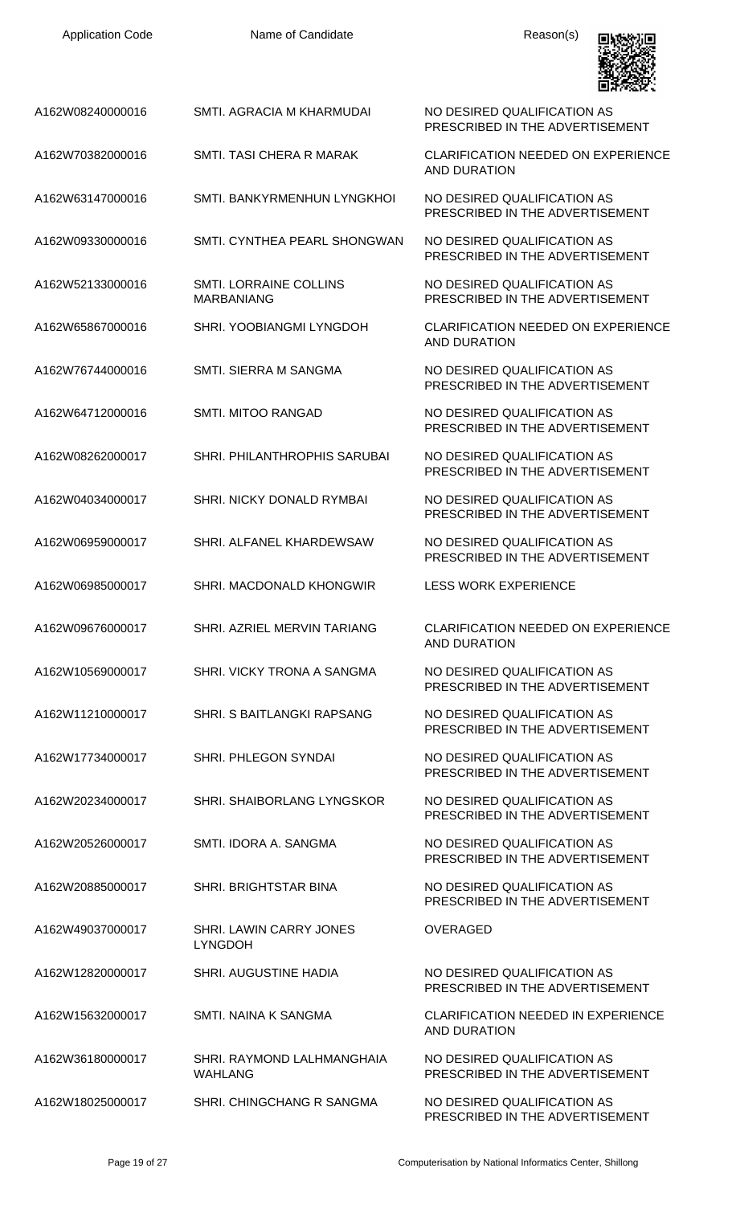| <b>Application Code</b> | Name of Candidate                            | Reason(s)                                                        |
|-------------------------|----------------------------------------------|------------------------------------------------------------------|
| A162W08240000016        | SMTI. AGRACIA M KHARMUDAI                    | NO DESIRED QUALIFICATION AS<br>PRESCRIBED IN THE ADVERTISEMENT   |
| A162W70382000016        | SMTI. TASI CHERA R MARAK                     | <b>CLARIFICATION NEEDED ON EXPERIENCE</b><br>AND DURATION        |
| A162W63147000016        | SMTI, BANKYRMENHUN LYNGKHOL                  | NO DESIRED QUALIFICATION AS<br>PRESCRIBED IN THE ADVERTISEMENT   |
| A162W09330000016        | SMTI. CYNTHEA PEARL SHONGWAN                 | NO DESIRED QUALIFICATION AS<br>PRESCRIBED IN THE ADVERTISEMENT   |
| A162W52133000016        | SMTI. LORRAINE COLLINS<br><b>MARBANIANG</b>  | NO DESIRED QUALIFICATION AS<br>PRESCRIBED IN THE ADVERTISEMENT   |
| A162W65867000016        | SHRI. YOOBIANGMI LYNGDOH                     | <b>CLARIFICATION NEEDED ON EXPERIENCE</b><br><b>AND DURATION</b> |
| A162W76744000016        | <b>SMTI. SIERRA M SANGMA</b>                 | NO DESIRED QUALIFICATION AS<br>PRESCRIBED IN THE ADVERTISEMENT   |
| A162W64712000016        | SMTI. MITOO RANGAD                           | NO DESIRED QUALIFICATION AS<br>PRESCRIBED IN THE ADVERTISEMENT   |
| A162W08262000017        | <b>SHRI. PHILANTHROPHIS SARUBAI</b>          | NO DESIRED QUALIFICATION AS<br>PRESCRIBED IN THE ADVERTISEMENT   |
| A162W04034000017        | SHRI. NICKY DONALD RYMBAI                    | NO DESIRED QUALIFICATION AS<br>PRESCRIBED IN THE ADVERTISEMENT   |
| A162W06959000017        | SHRI. ALFANEL KHARDEWSAW                     | NO DESIRED QUALIFICATION AS<br>PRESCRIBED IN THE ADVERTISEMENT   |
| A162W06985000017        | SHRI. MACDONALD KHONGWIR                     | <b>LESS WORK EXPERIENCE</b>                                      |
| A162W09676000017        | SHRI. AZRIEL MERVIN TARIANG                  | <b>CLARIFICATION NEEDED ON EXPERIENCE</b><br><b>AND DURATION</b> |
| A162W10569000017        | SHRI. VICKY TRONA A SANGMA                   | NO DESIRED QUALIFICATION AS<br>PRESCRIBED IN THE ADVERTISEMENT   |
| A162W11210000017        | SHRI. S BAITLANGKI RAPSANG                   | NO DESIRED QUALIFICATION AS<br>PRESCRIBED IN THE ADVERTISEMENT   |
| A162W17734000017        | SHRI. PHLEGON SYNDAI                         | NO DESIRED QUALIFICATION AS<br>PRESCRIBED IN THE ADVERTISEMENT   |
| A162W20234000017        | SHRI. SHAIBORLANG LYNGSKOR                   | NO DESIRED QUALIFICATION AS<br>PRESCRIBED IN THE ADVERTISEMENT   |
| A162W20526000017        | SMTI, IDORA A, SANGMA                        | NO DESIRED QUALIFICATION AS<br>PRESCRIBED IN THE ADVERTISEMENT   |
| A162W20885000017        | SHRI. BRIGHTSTAR BINA                        | NO DESIRED QUALIFICATION AS<br>PRESCRIBED IN THE ADVERTISEMENT   |
| A162W49037000017        | SHRI. LAWIN CARRY JONES<br><b>LYNGDOH</b>    | <b>OVERAGED</b>                                                  |
| A162W12820000017        | SHRI. AUGUSTINE HADIA                        | NO DESIRED QUALIFICATION AS<br>PRESCRIBED IN THE ADVERTISEMENT   |
| A162W15632000017        | SMTI, NAINA K SANGMA                         | <b>CLARIFICATION NEEDED IN EXPERIENCE</b><br><b>AND DURATION</b> |
| A162W36180000017        | SHRI. RAYMOND LALHMANGHAIA<br><b>WAHLANG</b> | NO DESIRED QUALIFICATION AS<br>PRESCRIBED IN THE ADVERTISEMENT   |
| A162W18025000017        | SHRI. CHINGCHANG R SANGMA                    | NO DESIRED QUALIFICATION AS<br>PRESCRIBED IN THE ADVERTISEMENT   |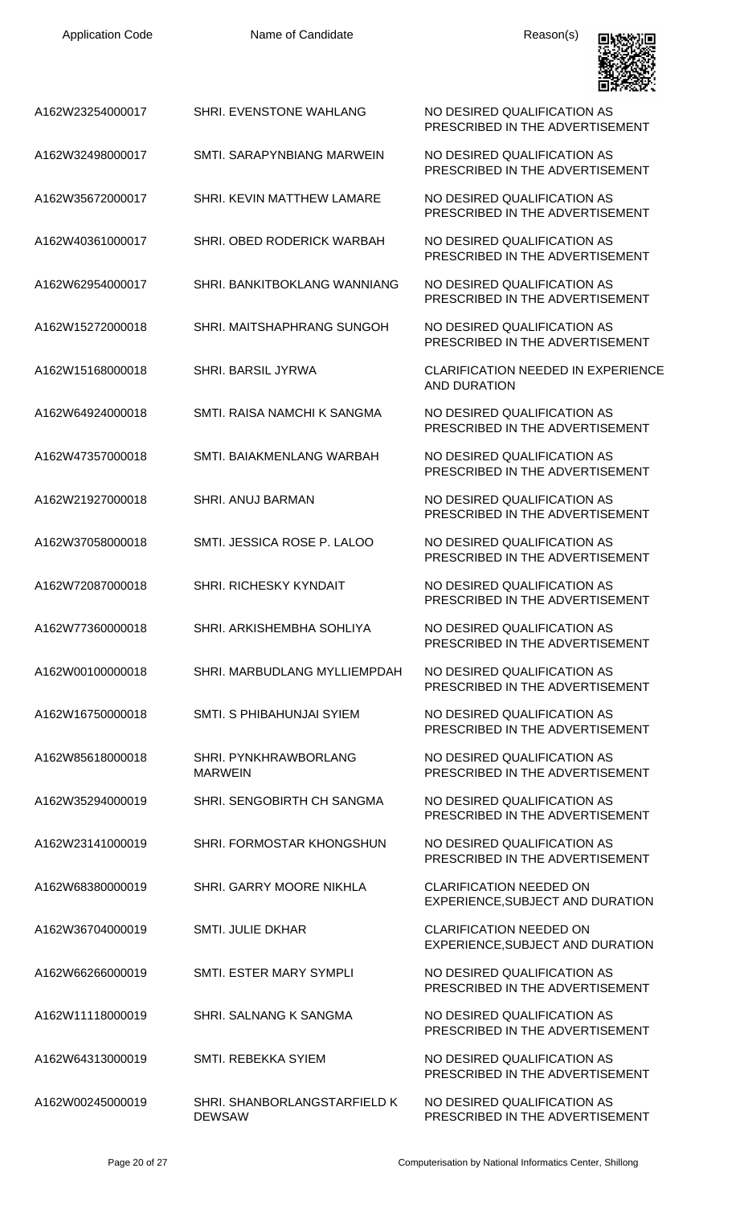| A162W23254000017 | SHRI. EVENSTONE WAHLANG                       | NO DESIRED QUALIFICATION AS<br>PRESCRIBED IN THE ADVERTISEMENT     |
|------------------|-----------------------------------------------|--------------------------------------------------------------------|
| A162W32498000017 | SMTI, SARAPYNBIANG MARWEIN                    | NO DESIRED QUALIFICATION AS<br>PRESCRIBED IN THE ADVERTISEMENT     |
| A162W35672000017 | <b>SHRI. KEVIN MATTHEW LAMARE</b>             | NO DESIRED QUALIFICATION AS<br>PRESCRIBED IN THE ADVERTISEMENT     |
| A162W40361000017 | SHRI. OBED RODERICK WARBAH                    | NO DESIRED QUALIFICATION AS<br>PRESCRIBED IN THE ADVERTISEMENT     |
| A162W62954000017 | SHRI. BANKITBOKLANG WANNIANG                  | NO DESIRED QUALIFICATION AS<br>PRESCRIBED IN THE ADVERTISEMENT     |
| A162W15272000018 | SHRI. MAITSHAPHRANG SUNGOH                    | NO DESIRED QUALIFICATION AS<br>PRESCRIBED IN THE ADVERTISEMENT     |
| A162W15168000018 | <b>SHRI. BARSIL JYRWA</b>                     | CLARIFICATION NEEDED IN EXPERIENCE<br><b>AND DURATION</b>          |
| A162W64924000018 | SMTL RAISA NAMCHI K SANGMA                    | NO DESIRED QUALIFICATION AS<br>PRESCRIBED IN THE ADVERTISEMENT     |
| A162W47357000018 | SMTI, BAIAKMENLANG WARBAH                     | NO DESIRED QUALIFICATION AS<br>PRESCRIBED IN THE ADVERTISEMENT     |
| A162W21927000018 | <b>SHRI. ANUJ BARMAN</b>                      | NO DESIRED QUALIFICATION AS<br>PRESCRIBED IN THE ADVERTISEMENT     |
| A162W37058000018 | SMTI, JESSICA ROSE P. LALOO                   | NO DESIRED QUALIFICATION AS<br>PRESCRIBED IN THE ADVERTISEMENT     |
| A162W72087000018 | <b>SHRI. RICHESKY KYNDAIT</b>                 | NO DESIRED QUALIFICATION AS<br>PRESCRIBED IN THE ADVERTISEMENT     |
| A162W77360000018 | SHRI. ARKISHEMBHA SOHLIYA                     | NO DESIRED QUALIFICATION AS<br>PRESCRIBED IN THE ADVERTISEMENT     |
| A162W00100000018 | SHRI. MARBUDLANG MYLLIEMPDAH                  | NO DESIRED QUALIFICATION AS<br>PRESCRIBED IN THE ADVERTISEMENT     |
| A162W16750000018 | SMTI. S PHIBAHUNJAI SYIEM                     | NO DESIRED QUALIFICATION AS<br>PRESCRIBED IN THE ADVERTISEMENT     |
| A162W85618000018 | SHRI. PYNKHRAWBORLANG<br><b>MARWEIN</b>       | NO DESIRED QUALIFICATION AS<br>PRESCRIBED IN THE ADVERTISEMENT     |
| A162W35294000019 | SHRI. SENGOBIRTH CH SANGMA                    | NO DESIRED QUALIFICATION AS<br>PRESCRIBED IN THE ADVERTISEMENT     |
| A162W23141000019 | SHRI. FORMOSTAR KHONGSHUN                     | NO DESIRED QUALIFICATION AS<br>PRESCRIBED IN THE ADVERTISEMENT     |
| A162W68380000019 | <b>SHRI. GARRY MOORE NIKHLA</b>               | <b>CLARIFICATION NEEDED ON</b><br>EXPERIENCE, SUBJECT AND DURATION |
| A162W36704000019 | <b>SMTI. JULIE DKHAR</b>                      | <b>CLARIFICATION NEEDED ON</b><br>EXPERIENCE, SUBJECT AND DURATION |
| A162W66266000019 | SMTI. ESTER MARY SYMPLI                       | NO DESIRED QUALIFICATION AS<br>PRESCRIBED IN THE ADVERTISEMENT     |
| A162W11118000019 | SHRI. SALNANG K SANGMA                        | NO DESIRED QUALIFICATION AS<br>PRESCRIBED IN THE ADVERTISEMENT     |
| A162W64313000019 | <b>SMTL REBEKKA SYIEM</b>                     | NO DESIRED QUALIFICATION AS<br>PRESCRIBED IN THE ADVERTISEMENT     |
| A162W00245000019 | SHRI. SHANBORLANGSTARFIELD K<br><b>DEWSAW</b> | NO DESIRED QUALIFICATION AS<br>PRESCRIBED IN THE ADVERTISEMENT     |

回燃炉回

87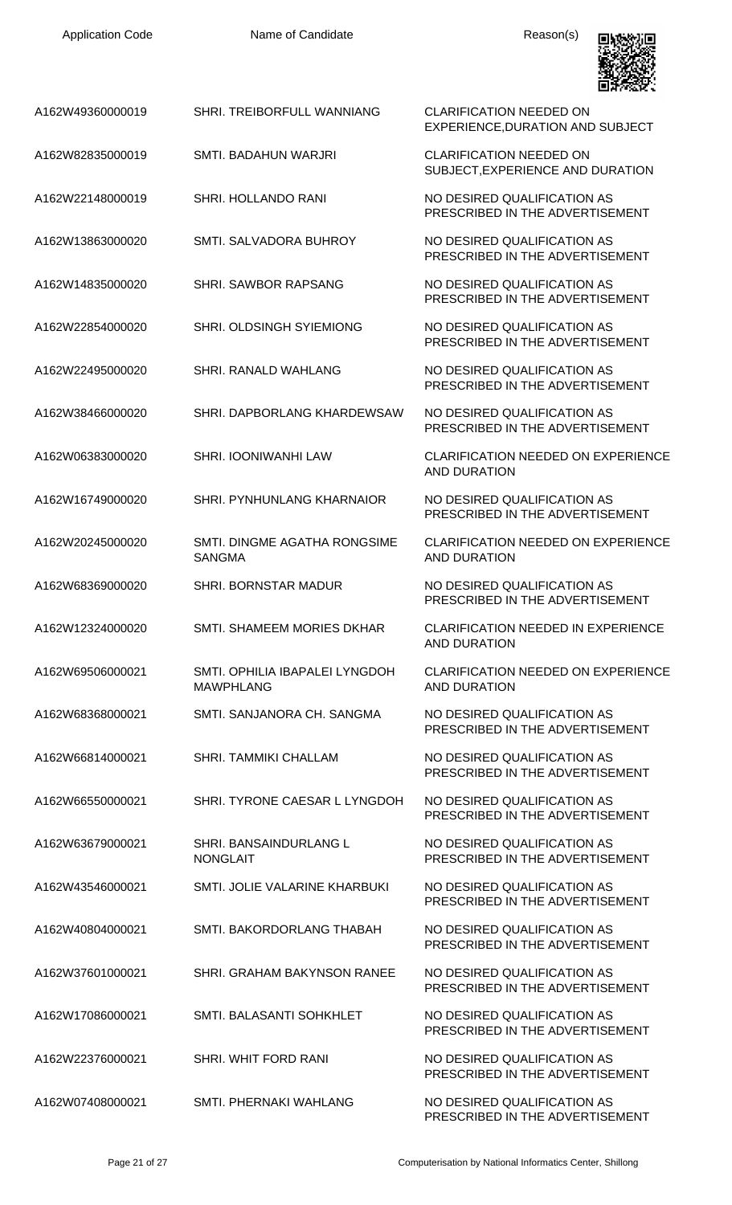| <b>Application Code</b> |  |
|-------------------------|--|
|-------------------------|--|

Name of Candidate **Reason(s)** 



| A162W49360000019 | SHRI. TREIBORFULL WANNIANG                         | <b>CLARIFICATION NEEDED ON</b><br>EXPERIENCE, DURATION AND SUBJECT |
|------------------|----------------------------------------------------|--------------------------------------------------------------------|
| A162W82835000019 | SMTI. BADAHUN WARJRI                               | <b>CLARIFICATION NEEDED ON</b><br>SUBJECT, EXPERIENCE AND DURATION |
| A162W22148000019 | SHRI. HOLLANDO RANI                                | NO DESIRED QUALIFICATION AS<br>PRESCRIBED IN THE ADVERTISEMENT     |
| A162W13863000020 | SMTI, SALVADORA BUHROY                             | NO DESIRED QUALIFICATION AS<br>PRESCRIBED IN THE ADVERTISEMENT     |
| A162W14835000020 | SHRI. SAWBOR RAPSANG                               | NO DESIRED QUALIFICATION AS<br>PRESCRIBED IN THE ADVERTISEMENT     |
| A162W22854000020 | SHRI. OLDSINGH SYIEMIONG                           | NO DESIRED QUALIFICATION AS<br>PRESCRIBED IN THE ADVERTISEMENT     |
| A162W22495000020 | <b>SHRI. RANALD WAHLANG</b>                        | NO DESIRED QUALIFICATION AS<br>PRESCRIBED IN THE ADVERTISEMENT     |
| A162W38466000020 | SHRI. DAPBORLANG KHARDEWSAW                        | NO DESIRED QUALIFICATION AS<br>PRESCRIBED IN THE ADVERTISEMENT     |
| A162W06383000020 | SHRI. IOONIWANHI LAW                               | <b>CLARIFICATION NEEDED ON EXPERIENCE</b><br><b>AND DURATION</b>   |
| A162W16749000020 | SHRI. PYNHUNLANG KHARNAIOR                         | NO DESIRED QUALIFICATION AS<br>PRESCRIBED IN THE ADVERTISEMENT     |
| A162W20245000020 | SMTI. DINGME AGATHA RONGSIME<br><b>SANGMA</b>      | <b>CLARIFICATION NEEDED ON EXPERIENCE</b><br><b>AND DURATION</b>   |
| A162W68369000020 | SHRI. BORNSTAR MADUR                               | NO DESIRED QUALIFICATION AS<br>PRESCRIBED IN THE ADVERTISEMENT     |
| A162W12324000020 | <b>SMTI. SHAMEEM MORIES DKHAR</b>                  | CLARIFICATION NEEDED IN EXPERIENCE<br><b>AND DURATION</b>          |
| A162W69506000021 | SMTI. OPHILIA IBAPALEI LYNGDOH<br><b>MAWPHLANG</b> | <b>CLARIFICATION NEEDED ON EXPERIENCE</b><br><b>AND DURATION</b>   |
| A162W68368000021 | SMTI. SANJANORA CH. SANGMA                         | NO DESIRED QUALIFICATION AS<br>PRESCRIBED IN THE ADVERTISEMENT     |
| A162W66814000021 | SHRI. TAMMIKI CHALLAM                              | NO DESIRED QUALIFICATION AS<br>PRESCRIBED IN THE ADVERTISEMENT     |
| A162W66550000021 | SHRI. TYRONE CAESAR L LYNGDOH                      | NO DESIRED QUALIFICATION AS<br>PRESCRIBED IN THE ADVERTISEMENT     |
| A162W63679000021 | SHRI. BANSAINDURLANG L<br><b>NONGLAIT</b>          | NO DESIRED QUALIFICATION AS<br>PRESCRIBED IN THE ADVERTISEMENT     |
| A162W43546000021 | SMTI. JOLIE VALARINE KHARBUKI                      | NO DESIRED QUALIFICATION AS<br>PRESCRIBED IN THE ADVERTISEMENT     |
| A162W40804000021 | SMTI. BAKORDORLANG THABAH                          | NO DESIRED QUALIFICATION AS<br>PRESCRIBED IN THE ADVERTISEMENT     |
| A162W37601000021 | SHRI. GRAHAM BAKYNSON RANEE                        | NO DESIRED QUALIFICATION AS<br>PRESCRIBED IN THE ADVERTISEMENT     |
| A162W17086000021 | SMTI. BALASANTI SOHKHLET                           | NO DESIRED QUALIFICATION AS<br>PRESCRIBED IN THE ADVERTISEMENT     |
| A162W22376000021 | SHRI. WHIT FORD RANI                               | NO DESIRED QUALIFICATION AS<br>PRESCRIBED IN THE ADVERTISEMENT     |
| A162W07408000021 | SMTI. PHERNAKI WAHLANG                             | NO DESIRED QUALIFICATION AS<br>PRESCRIBED IN THE ADVERTISEMENT     |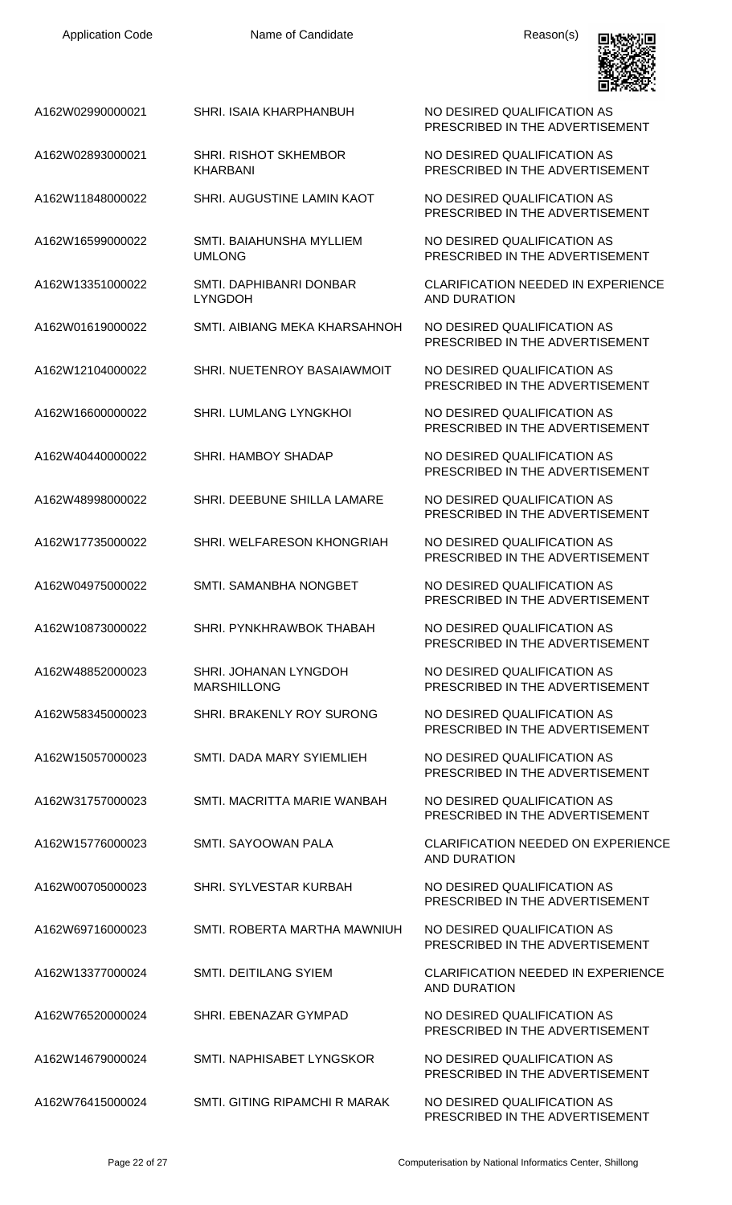Name of Candidate **Reason(s)** Reason(s)

PRESCRIBED IN THE ADVERTISEMENT

PRESCRIBED IN THE ADVERTISEMENT

PRESCRIBED IN THE ADVERTISEMENT

PRESCRIBED IN THE ADVERTISEMENT

PRESCRIBED IN THE ADVERTISEMENT

PRESCRIBED IN THE ADVERTISEMENT

PRESCRIBED IN THE ADVERTISEMENT

PRESCRIBED IN THE ADVERTISEMENT

PRESCRIBED IN THE ADVERTISEMENT

PRESCRIBED IN THE ADVERTISEMENT

PRESCRIBED IN THE ADVERTISEMENT

PRESCRIBED IN THE ADVERTISEMENT

PRESCRIBED IN THE ADVERTISEMENT

PRESCRIBED IN THE ADVERTISEMENT

PRESCRIBED IN THE ADVERTISEMENT

PRESCRIBED IN THE ADVERTISEMENT

PRESCRIBED IN THE ADVERTISEMENT

PRESCRIBED IN THE ADVERTISEMENT

PRESCRIBED IN THE ADVERTISEMENT

PRESCRIBED IN THE ADVERTISEMENT

AND DURATION

AND DURATION

NO DESIRED QUALIFICATION AS

CLARIFICATION NEEDED IN EXPERIENCE

NO DESIRED QUALIFICATION AS PRESCRIBED IN THE ADVERTISEMENT

NO DESIRED QUALIFICATION AS

AND DURATION



A162W02990000021 SHRI. ISAIA KHARPHANBUH NO DESIRED QUALIFICATION AS

- A162W02893000021 SHRI. RISHOT SKHEMBOR KHARBANI
- A162W11848000022 SHRI. AUGUSTINE LAMIN KAOT NO DESIRED QUALIFICATION AS
- A162W16599000022 SMTI. BAIAHUNSHA MYLLIEM UMLONG
- A162W13351000022 SMTI. DAPHIBANRI DONBAR LYNGDOH
- A162W01619000022 SMTI. AIBIANG MEKA KHARSAHNOH NO DESIRED QUALIFICATION AS
- A162W12104000022 SHRI. NUETENROY BASAIAWMOIT NO DESIRED QUALIFICATION AS
- A162W16600000022 SHRI. LUMLANG LYNGKHOI NO DESIRED QUALIFICATION AS
- A162W40440000022 SHRI. HAMBOY SHADAP NO DESIRED QUALIFICATION AS
- A162W48998000022 SHRI. DEEBUNE SHILLA LAMARE NO DESIRED QUALIFICATION AS
- A162W17735000022 SHRI. WELFARESON KHONGRIAH NO DESIRED QUALIFICATION AS
- A162W04975000022 SMTI. SAMANBHA NONGBET NO DESIRED QUALIFICATION AS
- A162W10873000022 SHRI. PYNKHRAWBOK THABAH NO DESIRED QUALIFICATION AS
- A162W48852000023 SHRI. JOHANAN LYNGDOH MARSHILLONG
- A162W58345000023 SHRI. BRAKENLY ROY SURONG NO DESIRED QUALIFICATION AS
- A162W15057000023 SMTI. DADA MARY SYIEMLIEH NO DESIRED QUALIFICATION AS
- A162W31757000023 SMTI. MACRITTA MARIE WANBAH NO DESIRED QUALIFICATION AS
- A162W15776000023 SMTI. SAYOOWAN PALA CLARIFICATION NEEDED ON EXPERIENCE
- A162W00705000023 SHRI. SYLVESTAR KURBAH NO DESIRED QUALIFICATION AS
- A162W69716000023 SMTI. ROBERTA MARTHA MAWNIUH NO DESIRED QUALIFICATION AS
- A162W13377000024 SMTI. DEITILANG SYIEM CLARIFICATION NEEDED IN EXPERIENCE
- A162W76520000024 SHRI. EBENAZAR GYMPAD NO DESIRED QUALIFICATION AS
- A162W14679000024 SMTI. NAPHISABET LYNGSKOR NO DESIRED QUALIFICATION AS
- A162W76415000024 SMTI. GITING RIPAMCHI R MARAK NO DESIRED QUALIFICATION AS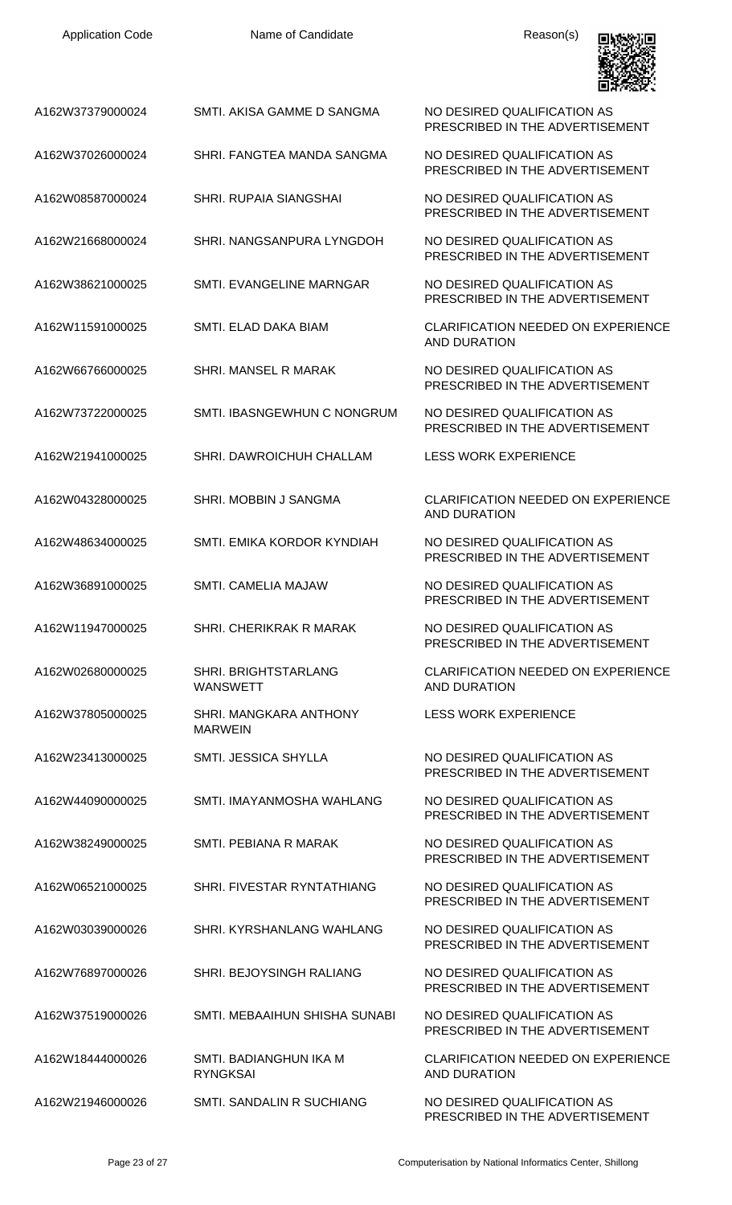| <b>Application Code</b> | Name of Candidate                              | Reason(s)                                                        |
|-------------------------|------------------------------------------------|------------------------------------------------------------------|
| A162W37379000024        | SMTI. AKISA GAMME D SANGMA                     | NO DESIRED QUALIFICATION AS<br>PRESCRIBED IN THE ADVERTISEMENT   |
| A162W37026000024        | SHRI. FANGTEA MANDA SANGMA                     | NO DESIRED QUALIFICATION AS<br>PRESCRIBED IN THE ADVERTISEMENT   |
| A162W08587000024        | <b>SHRI. RUPAIA SIANGSHAI</b>                  | NO DESIRED QUALIFICATION AS<br>PRESCRIBED IN THE ADVERTISEMENT   |
| A162W21668000024        | SHRI. NANGSANPURA LYNGDOH                      | NO DESIRED QUALIFICATION AS<br>PRESCRIBED IN THE ADVERTISEMENT   |
| A162W38621000025        | SMTI. EVANGELINE MARNGAR                       | NO DESIRED QUALIFICATION AS<br>PRESCRIBED IN THE ADVERTISEMENT   |
| A162W11591000025        | SMTI. ELAD DAKA BIAM                           | <b>CLARIFICATION NEEDED ON EXPERIENCE</b><br><b>AND DURATION</b> |
| A162W66766000025        | SHRI. MANSEL R MARAK                           | NO DESIRED QUALIFICATION AS<br>PRESCRIBED IN THE ADVERTISEMENT   |
| A162W73722000025        | SMTI. IBASNGEWHUN C NONGRUM                    | NO DESIRED QUALIFICATION AS<br>PRESCRIBED IN THE ADVERTISEMENT   |
| A162W21941000025        | SHRI. DAWROICHUH CHALLAM                       | <b>LESS WORK EXPERIENCE</b>                                      |
| A162W04328000025        | SHRI. MOBBIN J SANGMA                          | <b>CLARIFICATION NEEDED ON EXPERIENCE</b><br><b>AND DURATION</b> |
| A162W48634000025        | SMTI. EMIKA KORDOR KYNDIAH                     | NO DESIRED QUALIFICATION AS<br>PRESCRIBED IN THE ADVERTISEMENT   |
| A162W36891000025        | <b>SMTI, CAMELIA MAJAW</b>                     | NO DESIRED QUALIFICATION AS<br>PRESCRIBED IN THE ADVERTISEMENT   |
| A162W11947000025        | SHRI. CHERIKRAK R MARAK                        | NO DESIRED QUALIFICATION AS<br>PRESCRIBED IN THE ADVERTISEMENT   |
| A162W02680000025        | <b>SHRI. BRIGHTSTARLANG</b><br><b>WANSWETT</b> | <b>CLARIFICATION NEEDED ON EXPERIENCE</b><br><b>AND DURATION</b> |
| A162W37805000025        | SHRI. MANGKARA ANTHONY<br><b>MARWEIN</b>       | <b>LESS WORK EXPERIENCE</b>                                      |
| A162W23413000025        | <b>SMTI. JESSICA SHYLLA</b>                    | NO DESIRED QUALIFICATION AS<br>PRESCRIBED IN THE ADVERTISEMENT   |
| A162W44090000025        | SMTI. IMAYANMOSHA WAHLANG                      | NO DESIRED QUALIFICATION AS<br>PRESCRIBED IN THE ADVERTISEMENT   |
| A162W38249000025        | SMTI. PEBIANA R MARAK                          | NO DESIRED QUALIFICATION AS<br>PRESCRIBED IN THE ADVERTISEMENT   |
| A162W06521000025        | SHRI. FIVESTAR RYNTATHIANG                     | NO DESIRED QUALIFICATION AS<br>PRESCRIBED IN THE ADVERTISEMENT   |
| A162W03039000026        | SHRI. KYRSHANLANG WAHLANG                      | NO DESIRED QUALIFICATION AS<br>PRESCRIBED IN THE ADVERTISEMENT   |
| A162W76897000026        | <b>SHRI. BEJOYSINGH RALIANG</b>                | NO DESIRED QUALIFICATION AS<br>PRESCRIBED IN THE ADVERTISEMENT   |
| A162W37519000026        | SMTI. MEBAAIHUN SHISHA SUNABI                  | NO DESIRED QUALIFICATION AS<br>PRESCRIBED IN THE ADVERTISEMENT   |
| A162W18444000026        | SMTI. BADIANGHUN IKA M<br><b>RYNGKSAI</b>      | <b>CLARIFICATION NEEDED ON EXPERIENCE</b><br><b>AND DURATION</b> |
| A162W21946000026        | SMTI. SANDALIN R SUCHIANG                      | NO DESIRED QUALIFICATION AS<br>PRESCRIBED IN THE ADVERTISEMENT   |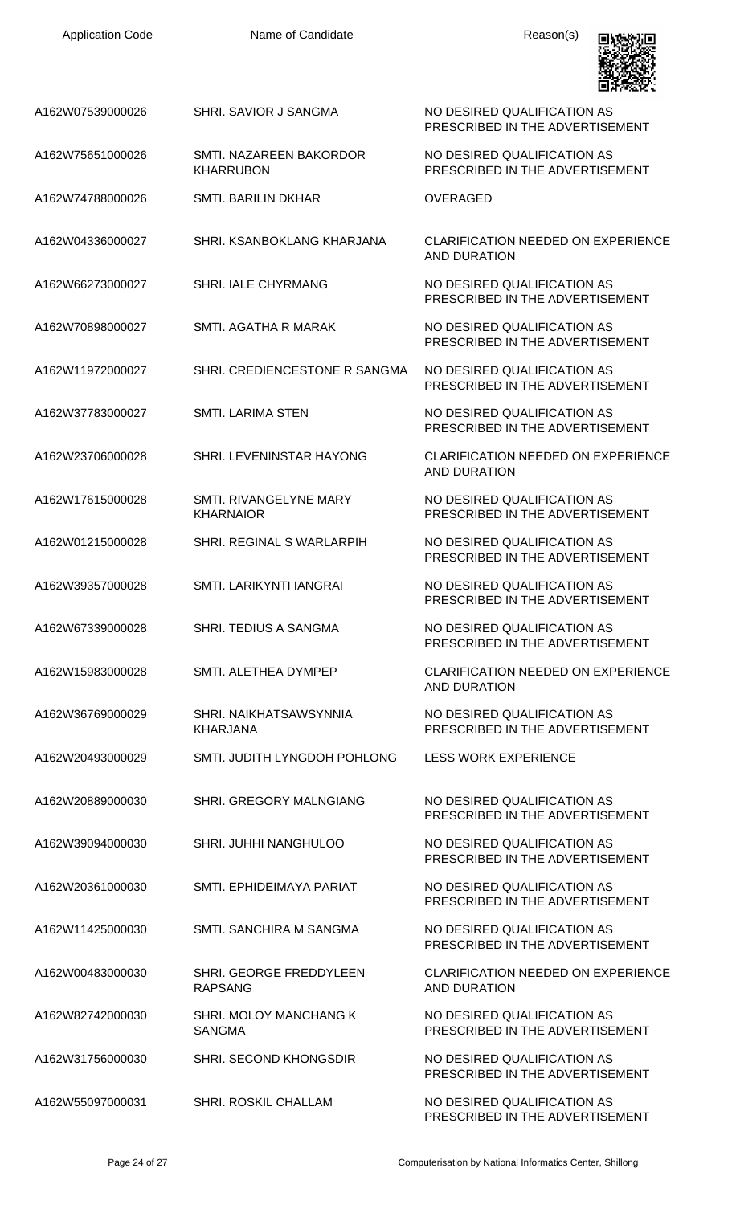| <b>Application Code</b> | Name of Candidate                           | Reason(s)                                                        |
|-------------------------|---------------------------------------------|------------------------------------------------------------------|
| A162W07539000026        | SHRI, SAVIOR J SANGMA                       | NO DESIRED QUALIFICATION AS<br>PRESCRIBED IN THE ADVERTISEMENT   |
| A162W75651000026        | SMTI. NAZAREEN BAKORDOR<br><b>KHARRUBON</b> | NO DESIRED QUALIFICATION AS<br>PRESCRIBED IN THE ADVERTISEMENT   |
| A162W74788000026        | <b>SMTL BARILIN DKHAR</b>                   | <b>OVERAGED</b>                                                  |
| A162W04336000027        | SHRI. KSANBOKLANG KHARJANA                  | <b>CLARIFICATION NEEDED ON EXPERIENCE</b><br><b>AND DURATION</b> |
| A162W66273000027        | SHRI. IALE CHYRMANG                         | NO DESIRED QUALIFICATION AS<br>PRESCRIBED IN THE ADVERTISEMENT   |
| A162W70898000027        | SMTL AGATHA R MARAK                         | NO DESIRED QUALIFICATION AS<br>PRESCRIBED IN THE ADVERTISEMENT   |
| A162W11972000027        | SHRI. CREDIENCESTONE R SANGMA               | NO DESIRED QUALIFICATION AS<br>PRESCRIBED IN THE ADVERTISEMENT   |
| A162W37783000027        | <b>SMTI. LARIMA STEN</b>                    | NO DESIRED QUALIFICATION AS<br>PRESCRIBED IN THE ADVERTISEMENT   |
| A162W23706000028        | SHRI. LEVENINSTAR HAYONG                    | <b>CLARIFICATION NEEDED ON EXPERIENCE</b><br><b>AND DURATION</b> |
| A162W17615000028        | SMTI, RIVANGELYNE MARY<br><b>KHARNAIOR</b>  | NO DESIRED QUALIFICATION AS<br>PRESCRIBED IN THE ADVERTISEMENT   |
| A162W01215000028        | SHRI. REGINAL S WARLARPIH                   | NO DESIRED QUALIFICATION AS<br>PRESCRIBED IN THE ADVERTISEMENT   |
| A162W39357000028        | SMTI, LARIKYNTI IANGRAI                     | NO DESIRED QUALIFICATION AS<br>PRESCRIBED IN THE ADVERTISEMENT   |
| A162W67339000028        | SHRI. TEDIUS A SANGMA                       | NO DESIRED QUALIFICATION AS<br>PRESCRIBED IN THE ADVERTISEMENT   |
| A162W15983000028        | SMTI. ALETHEA DYMPEP                        | <b>CLARIFICATION NEEDED ON EXPERIENCE</b><br><b>AND DURATION</b> |
| A162W36769000029        | SHRI, NAIKHATSAWSYNNIA<br><b>KHARJANA</b>   | NO DESIRED QUALIFICATION AS<br>PRESCRIBED IN THE ADVERTISEMENT   |
| A162W20493000029        | SMTI. JUDITH LYNGDOH POHLONG                | <b>LESS WORK EXPERIENCE</b>                                      |
| A162W20889000030        | SHRI. GREGORY MALNGIANG                     | NO DESIRED QUALIFICATION AS<br>PRESCRIBED IN THE ADVERTISEMENT   |
| A162W39094000030        | SHRI. JUHHI NANGHULOO                       | NO DESIRED QUALIFICATION AS<br>PRESCRIBED IN THE ADVERTISEMENT   |
| A162W20361000030        | SMTI. EPHIDEIMAYA PARIAT                    | NO DESIRED QUALIFICATION AS<br>PRESCRIBED IN THE ADVERTISEMENT   |
| A162W11425000030        | SMTI. SANCHIRA M SANGMA                     | NO DESIRED QUALIFICATION AS<br>PRESCRIBED IN THE ADVERTISEMENT   |
| A162W00483000030        | SHRI. GEORGE FREDDYLEEN<br><b>RAPSANG</b>   | <b>CLARIFICATION NEEDED ON EXPERIENCE</b><br><b>AND DURATION</b> |
| A162W82742000030        | SHRI. MOLOY MANCHANG K                      | NO DESIRED QUALIFICATION AS                                      |

NO DESIRED QUALIFICATION AS PRESCRIBED IN THE ADVERTISEMENT

A162W31756000030 SHRI. SECOND KHONGSDIR NO DESIRED QUALIFICATION AS PRESCRIBED IN THE ADVERTISEMENT

A162W55097000031 SHRI. ROSKIL CHALLAM NO DESIRED QUALIFICATION AS PRESCRIBED IN THE ADVERTISEMENT

SANGMA

Page 24 of 27 Computerisation by National Informatics Center, Shillong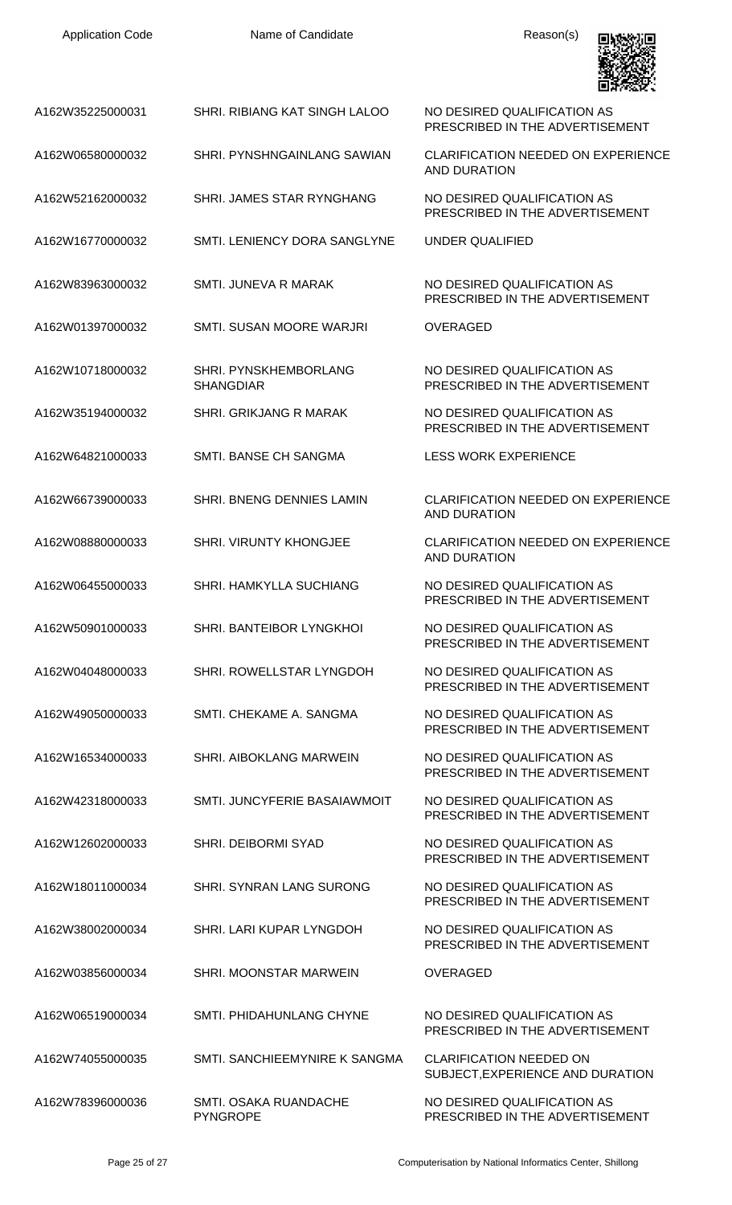| <b>Application Code</b> | Name of Candidate                         | Reason(s)                                                          |
|-------------------------|-------------------------------------------|--------------------------------------------------------------------|
| A162W35225000031        | SHRI. RIBIANG KAT SINGH LALOO             | NO DESIRED QUALIFICATION AS<br>PRESCRIBED IN THE ADVERTISEMENT     |
| A162W06580000032        | SHRI. PYNSHNGAINLANG SAWIAN               | <b>CLARIFICATION NEEDED ON EXPERIENCE</b><br><b>AND DURATION</b>   |
| A162W52162000032        | SHRI. JAMES STAR RYNGHANG                 | NO DESIRED QUALIFICATION AS<br>PRESCRIBED IN THE ADVERTISEMENT     |
| A162W16770000032        | SMTI. LENIENCY DORA SANGLYNE              | <b>UNDER QUALIFIED</b>                                             |
| A162W83963000032        | <b>SMTI. JUNEVA R MARAK</b>               | NO DESIRED QUALIFICATION AS<br>PRESCRIBED IN THE ADVERTISEMENT     |
| A162W01397000032        | SMTI. SUSAN MOORE WARJRI                  | <b>OVERAGED</b>                                                    |
| A162W10718000032        | SHRI. PYNSKHEMBORLANG<br><b>SHANGDIAR</b> | NO DESIRED QUALIFICATION AS<br>PRESCRIBED IN THE ADVERTISEMENT     |
| A162W35194000032        | SHRI. GRIKJANG R MARAK                    | NO DESIRED QUALIFICATION AS<br>PRESCRIBED IN THE ADVERTISEMENT     |
| A162W64821000033        | SMTI. BANSE CH SANGMA                     | <b>LESS WORK EXPERIENCE</b>                                        |
| A162W66739000033        | SHRI. BNENG DENNIES LAMIN                 | <b>CLARIFICATION NEEDED ON EXPERIENCE</b><br><b>AND DURATION</b>   |
| A162W08880000033        | SHRI. VIRUNTY KHONGJEE                    | <b>CLARIFICATION NEEDED ON EXPERIENCE</b><br><b>AND DURATION</b>   |
| A162W06455000033        | <b>SHRI. HAMKYLLA SUCHIANG</b>            | NO DESIRED QUALIFICATION AS<br>PRESCRIBED IN THE ADVERTISEMENT     |
| A162W50901000033        | SHRI. BANTEIBOR LYNGKHOI                  | NO DESIRED QUALIFICATION AS<br>PRESCRIBED IN THE ADVERTISEMENT     |
| A162W04048000033        | SHRI. ROWELLSTAR LYNGDOH                  | NO DESIRED QUALIFICATION AS<br>PRESCRIBED IN THE ADVERTISEMENT     |
| A162W49050000033        | SMTI, CHEKAME A, SANGMA                   | NO DESIRED QUALIFICATION AS<br>PRESCRIBED IN THE ADVERTISEMENT     |
| A162W16534000033        | SHRI. AIBOKLANG MARWEIN                   | NO DESIRED QUALIFICATION AS<br>PRESCRIBED IN THE ADVERTISEMENT     |
| A162W42318000033        | SMTI. JUNCYFERIE BASAIAWMOIT              | NO DESIRED QUALIFICATION AS<br>PRESCRIBED IN THE ADVERTISEMENT     |
| A162W12602000033        | SHRI. DEIBORMI SYAD                       | NO DESIRED QUALIFICATION AS<br>PRESCRIBED IN THE ADVERTISEMENT     |
| A162W18011000034        | <b>SHRI. SYNRAN LANG SURONG</b>           | NO DESIRED QUALIFICATION AS<br>PRESCRIBED IN THE ADVERTISEMENT     |
| A162W38002000034        | SHRI. LARI KUPAR LYNGDOH                  | NO DESIRED QUALIFICATION AS<br>PRESCRIBED IN THE ADVERTISEMENT     |
| A162W03856000034        | SHRI. MOONSTAR MARWEIN                    | <b>OVERAGED</b>                                                    |
| A162W06519000034        | SMTI. PHIDAHUNLANG CHYNE                  | NO DESIRED QUALIFICATION AS<br>PRESCRIBED IN THE ADVERTISEMENT     |
| A162W74055000035        | SMTI. SANCHIEEMYNIRE K SANGMA             | <b>CLARIFICATION NEEDED ON</b><br>SUBJECT, EXPERIENCE AND DURATION |
| A162W78396000036        | SMTI. OSAKA RUANDACHE<br><b>PYNGROPE</b>  | NO DESIRED QUALIFICATION AS<br>PRESCRIBED IN THE ADVERTISEMENT     |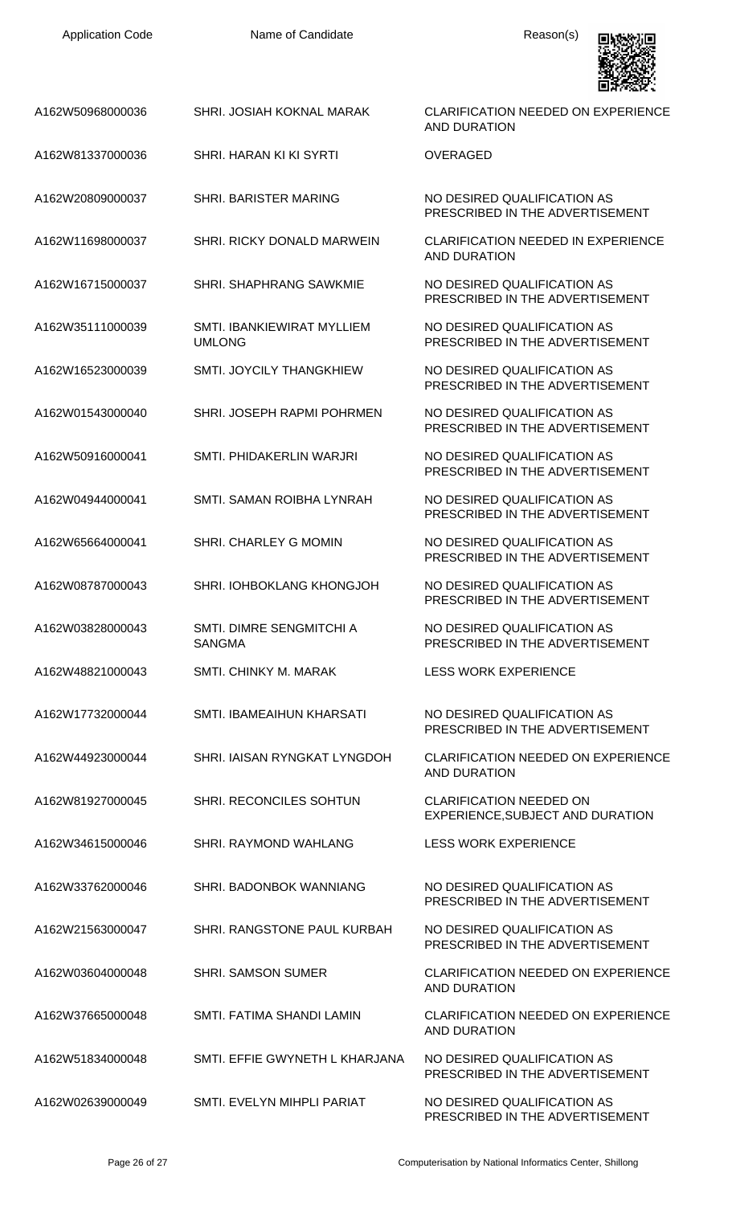

| A162W50968000036 | SHRI. JOSIAH KOKNAL MARAK                   | <b>CLARIFICATION NEEDED ON EXPERIENCE</b><br><b>AND DURATION</b>   |
|------------------|---------------------------------------------|--------------------------------------------------------------------|
| A162W81337000036 | SHRI. HARAN KI KI SYRTI                     | <b>OVERAGED</b>                                                    |
| A162W20809000037 | <b>SHRI. BARISTER MARING</b>                | NO DESIRED QUALIFICATION AS<br>PRESCRIBED IN THE ADVERTISEMENT     |
| A162W11698000037 | SHRI. RICKY DONALD MARWEIN                  | <b>CLARIFICATION NEEDED IN EXPERIENCE</b><br><b>AND DURATION</b>   |
| A162W16715000037 | <b>SHRI. SHAPHRANG SAWKMIE</b>              | NO DESIRED QUALIFICATION AS<br>PRESCRIBED IN THE ADVERTISEMENT     |
| A162W35111000039 | SMTI. IBANKIEWIRAT MYLLIEM<br><b>UMLONG</b> | NO DESIRED QUALIFICATION AS<br>PRESCRIBED IN THE ADVERTISEMENT     |
| A162W16523000039 | SMTI. JOYCILY THANGKHIEW                    | NO DESIRED QUALIFICATION AS<br>PRESCRIBED IN THE ADVERTISEMENT     |
| A162W01543000040 | SHRI. JOSEPH RAPMI POHRMEN                  | NO DESIRED QUALIFICATION AS<br>PRESCRIBED IN THE ADVERTISEMENT     |
| A162W50916000041 | SMTI. PHIDAKERLIN WARJRI                    | NO DESIRED QUALIFICATION AS<br>PRESCRIBED IN THE ADVERTISEMENT     |
| A162W04944000041 | SMTI. SAMAN ROIBHA LYNRAH                   | NO DESIRED QUALIFICATION AS<br>PRESCRIBED IN THE ADVERTISEMENT     |
| A162W65664000041 | SHRI. CHARLEY G MOMIN                       | NO DESIRED QUALIFICATION AS<br>PRESCRIBED IN THE ADVERTISEMENT     |
| A162W08787000043 | SHRI. IOHBOKLANG KHONGJOH                   | NO DESIRED QUALIFICATION AS<br>PRESCRIBED IN THE ADVERTISEMENT     |
| A162W03828000043 | SMTI. DIMRE SENGMITCHI A<br><b>SANGMA</b>   | NO DESIRED QUALIFICATION AS<br>PRESCRIBED IN THE ADVERTISEMENT     |
| A162W48821000043 | SMTI, CHINKY M. MARAK                       | <b>LESS WORK EXPERIENCE</b>                                        |
| A162W17732000044 | SMTI. IBAMEAIHUN KHARSATI                   | NO DESIRED QUALIFICATION AS<br>PRESCRIBED IN THE ADVERTISEMENT     |
| A162W44923000044 | SHRI. IAISAN RYNGKAT LYNGDOH                | CLARIFICATION NEEDED ON EXPERIENCE<br>AND DURATION                 |
| A162W81927000045 | SHRI. RECONCILES SOHTUN                     | <b>CLARIFICATION NEEDED ON</b><br>EXPERIENCE, SUBJECT AND DURATION |
| A162W34615000046 | SHRI. RAYMOND WAHLANG                       | <b>LESS WORK EXPERIENCE</b>                                        |
| A162W33762000046 | SHRI. BADONBOK WANNIANG                     | NO DESIRED QUALIFICATION AS<br>PRESCRIBED IN THE ADVERTISEMENT     |
| A162W21563000047 | SHRI. RANGSTONE PAUL KURBAH                 | NO DESIRED QUALIFICATION AS<br>PRESCRIBED IN THE ADVERTISEMENT     |
| A162W03604000048 | <b>SHRI. SAMSON SUMER</b>                   | <b>CLARIFICATION NEEDED ON EXPERIENCE</b><br><b>AND DURATION</b>   |
| A162W37665000048 | SMTI. FATIMA SHANDI LAMIN                   | <b>CLARIFICATION NEEDED ON EXPERIENCE</b><br><b>AND DURATION</b>   |
| A162W51834000048 | SMTI. EFFIE GWYNETH L KHARJANA              | NO DESIRED QUALIFICATION AS<br>PRESCRIBED IN THE ADVERTISEMENT     |
| A162W02639000049 | SMTI. EVELYN MIHPLI PARIAT                  | NO DESIRED QUALIFICATION AS<br>PRESCRIBED IN THE ADVERTISEMENT     |